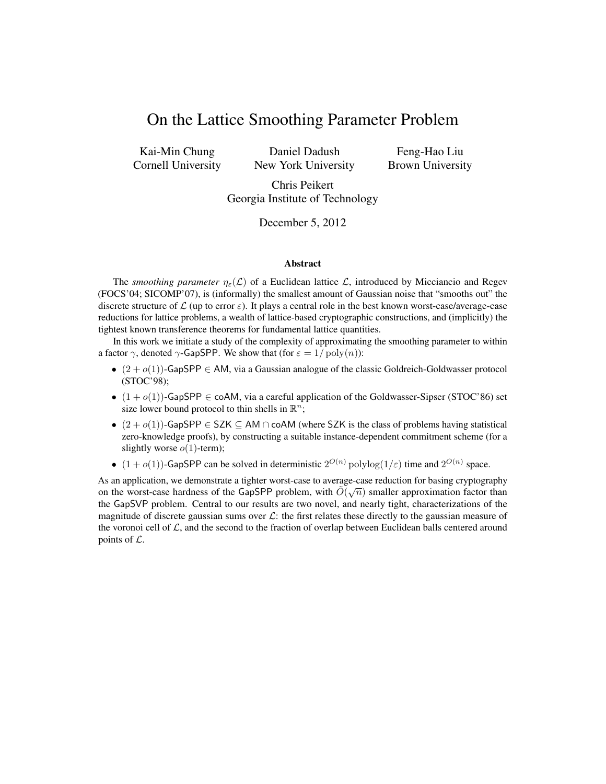# On the Lattice Smoothing Parameter Problem

Kai-Min Chung Cornell University

Daniel Dadush New York University

Feng-Hao Liu Brown University

Chris Peikert Georgia Institute of Technology

December 5, 2012

#### Abstract

The *smoothing parameter*  $\eta_{\varepsilon}(\mathcal{L})$  of a Euclidean lattice  $\mathcal{L}$ , introduced by Micciancio and Regev (FOCS'04; SICOMP'07), is (informally) the smallest amount of Gaussian noise that "smooths out" the discrete structure of  $\mathcal L$  (up to error  $\varepsilon$ ). It plays a central role in the best known worst-case/average-case reductions for lattice problems, a wealth of lattice-based cryptographic constructions, and (implicitly) the tightest known transference theorems for fundamental lattice quantities.

In this work we initiate a study of the complexity of approximating the smoothing parameter to within a factor  $\gamma$ , denoted  $\gamma$ -GapSPP. We show that (for  $\varepsilon = 1/\text{poly}(n)$ ):

- $(2 + o(1))$ -GapSPP  $\in$  AM, via a Gaussian analogue of the classic Goldreich-Goldwasser protocol (STOC'98);
- $(1 + o(1))$ -GapSPP  $\in$  coAM, via a careful application of the Goldwasser-Sipser (STOC'86) set size lower bound protocol to thin shells in  $\mathbb{R}^n$ ;
- $(2 + o(1))$ -GapSPP  $\in$  SZK  $\subseteq$  AM  $\cap$  coAM (where SZK is the class of problems having statistical zero-knowledge proofs), by constructing a suitable instance-dependent commitment scheme (for a slightly worse  $o(1)$ -term);
- $(1+o(1))$ -GapSPP can be solved in deterministic  $2^{O(n)}$  polylog $(1/\varepsilon)$  time and  $2^{O(n)}$  space.

As an application, we demonstrate a tighter worst-case to average-case reduction for basing cryptography on the worst-case hardness of the GapSPP problem, with  $\tilde{O}(\sqrt{n})$  smaller approximation factor than the GapSVP problem. Central to our results are two novel, and nearly tight, characterizations of the magnitude of discrete gaussian sums over  $\mathcal{L}$ : the first relates these directly to the gaussian measure of the voronoi cell of  $\mathcal{L}$ , and the second to the fraction of overlap between Euclidean balls centered around points of L.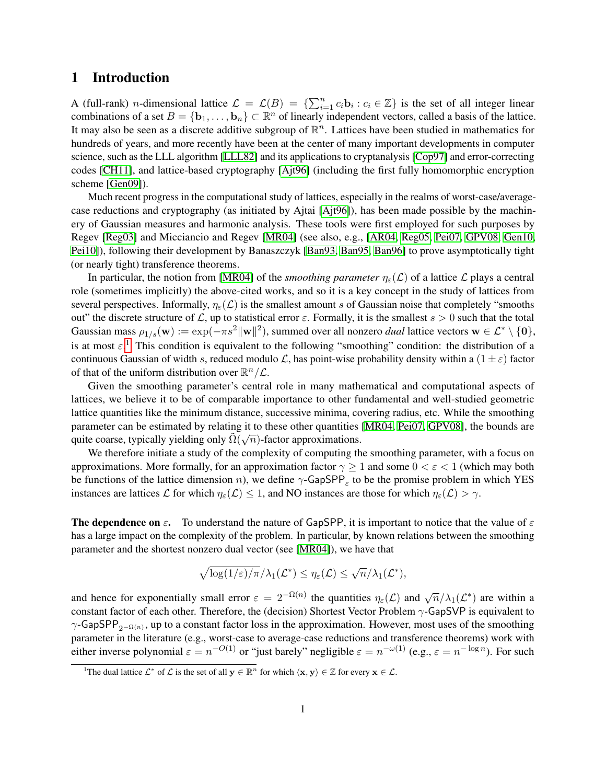# 1 Introduction

A (full-rank) *n*-dimensional lattice  $\mathcal{L} = \mathcal{L}(B) = \{\sum_{i=1}^{n} c_i \mathbf{b}_i : c_i \in \mathbb{Z}\}\$ is the set of all integer linear combinations of a set  $B = \{b_1, \ldots, b_n\} \subset \mathbb{R}^n$  of linearly independent vectors, called a basis of the lattice. It may also be seen as a discrete additive subgroup of  $\mathbb{R}^n$ . Lattices have been studied in mathematics for hundreds of years, and more recently have been at the center of many important developments in computer science, such as the LLL algorithm [\[LLL82\]](#page-25-0) and its applications to cryptanalysis [\[Cop97\]](#page-24-0) and error-correcting codes [\[CH11\]](#page-24-1), and lattice-based cryptography [\[Ajt96\]](#page-23-0) (including the first fully homomorphic encryption scheme [\[Gen09\]](#page-24-2)).

Much recent progress in the computational study of lattices, especially in the realms of worst-case/averagecase reductions and cryptography (as initiated by Ajtai [\[Ajt96\]](#page-23-0)), has been made possible by the machinery of Gaussian measures and harmonic analysis. These tools were first employed for such purposes by Regev [\[Reg03\]](#page-25-1) and Micciancio and Regev [\[MR04\]](#page-25-2) (see also, e.g., [\[AR04,](#page-24-3) [Reg05,](#page-25-3) [Pei07,](#page-25-4) [GPV08,](#page-25-5) [Gen10,](#page-24-4) [Pei10\]](#page-25-6)), following their development by Banaszczyk [\[Ban93,](#page-24-5) [Ban95,](#page-24-6) [Ban96\]](#page-24-7) to prove asymptotically tight (or nearly tight) transference theorems.

In particular, the notion from [\[MR04\]](#page-25-2) of the *smoothing parameter*  $\eta_{\varepsilon}(\mathcal{L})$  of a lattice  $\mathcal L$  plays a central role (sometimes implicitly) the above-cited works, and so it is a key concept in the study of lattices from several perspectives. Informally,  $\eta_{\varepsilon}(\mathcal{L})$  is the smallest amount s of Gaussian noise that completely "smooths" out" the discrete structure of L, up to statistical error  $\varepsilon$ . Formally, it is the smallest  $s > 0$  such that the total Gaussian mass  $\rho_{1/s}(w) := \exp(-\pi s^2 ||w||^2)$ , summed over all nonzero *dual* lattice vectors  $w \in \mathcal{L}^* \setminus \{0\}$ , is at most  $\varepsilon$ .<sup>[1](#page-1-0)</sup> This condition is equivalent to the following "smoothing" condition: the distribution of a continuous Gaussian of width s, reduced modulo L, has point-wise probability density within a  $(1 \pm \varepsilon)$  factor of that of the uniform distribution over  $\mathbb{R}^n/\mathcal{L}$ .

Given the smoothing parameter's central role in many mathematical and computational aspects of lattices, we believe it to be of comparable importance to other fundamental and well-studied geometric lattice quantities like the minimum distance, successive minima, covering radius, etc. While the smoothing parameter can be estimated by relating it to these other quantities [\[MR04,](#page-25-2) [Pei07,](#page-25-4) [GPV08\]](#page-25-5), the bounds are quite coarse, typically yielding only  $\tilde{\Omega}(\sqrt{n})$ -factor approximations.

We therefore initiate a study of the complexity of computing the smoothing parameter, with a focus on approximations. More formally, for an approximation factor  $\gamma \geq 1$  and some  $0 < \varepsilon < 1$  (which may both be functions of the lattice dimension *n*), we define  $\gamma$ -GapSPP<sub> $_{\varepsilon}$ </sub> to be the promise problem in which YES instances are lattices L for which  $\eta_{\varepsilon}(\mathcal{L}) \leq 1$ , and NO instances are those for which  $\eta_{\varepsilon}(\mathcal{L}) > \gamma$ .

**The dependence on**  $\varepsilon$ **.** To understand the nature of GapSPP, it is important to notice that the value of  $\varepsilon$ has a large impact on the complexity of the problem. In particular, by known relations between the smoothing parameter and the shortest nonzero dual vector (see [\[MR04\]](#page-25-2)), we have that

$$
\sqrt{\log(1/\varepsilon)/\pi}/\lambda_1(\mathcal{L}^*) \leq \eta_{\varepsilon}(\mathcal{L}) \leq \sqrt{n}/\lambda_1(\mathcal{L}^*),
$$

and hence for exponentially small error  $\varepsilon = 2^{-\Omega(n)}$  the quantities  $\eta_{\varepsilon}(\mathcal{L})$  and  $\sqrt{n}/\lambda_1(\mathcal{L}^*)$  are within a constant factor of each other. Therefore, the (decision) Shortest Vector Problem γ-GapSVP is equivalent to  $\gamma$ -GapSPP<sub>2−Ω(n)</sub>, up to a constant factor loss in the approximation. However, most uses of the smoothing parameter in the literature (e.g., worst-case to average-case reductions and transference theorems) work with either inverse polynomial  $\varepsilon = n^{-O(1)}$  or "just barely" negligible  $\varepsilon = n^{-\omega(1)}$  (e.g.,  $\varepsilon = n^{-\log n}$ ). For such

<span id="page-1-0"></span><sup>&</sup>lt;sup>1</sup>The dual lattice  $\mathcal{L}^*$  of  $\mathcal{L}$  is the set of all  $y \in \mathbb{R}^n$  for which  $\langle x, y \rangle \in \mathbb{Z}$  for every  $x \in \mathcal{L}$ .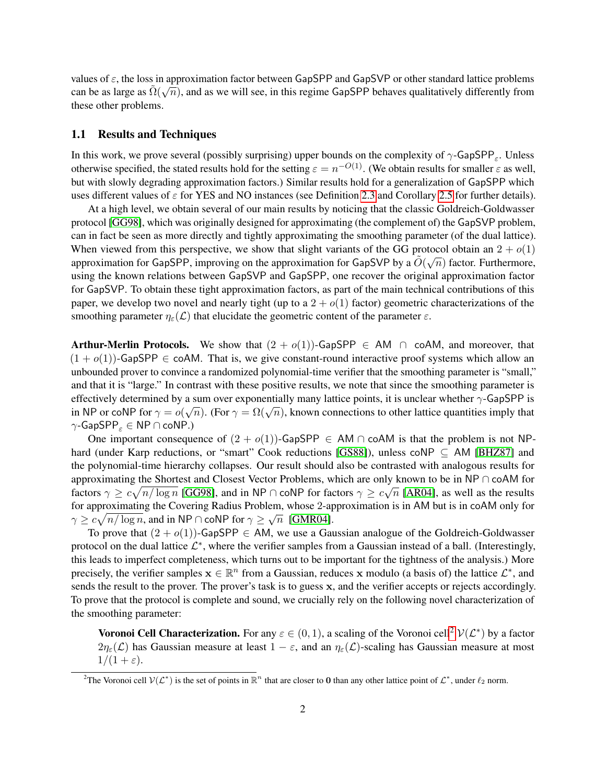values of  $\varepsilon$ , the loss in approximation factor between GapSPP and GapSVP or other standard lattice problems can be as large as  $\tilde{\Omega}(\sqrt{n})$ , and as we will see, in this regime GapSPP behaves qualitatively differently from these other problems.

#### 1.1 Results and Techniques

In this work, we prove several (possibly surprising) upper bounds on the complexity of  $\gamma$ -GapSPP<sub> $_{\varepsilon}$ </sub>. Unless otherwise specified, the stated results hold for the setting  $\varepsilon = n^{-O(1)}$ . (We obtain results for smaller  $\varepsilon$  as well, but with slowly degrading approximation factors.) Similar results hold for a generalization of GapSPP which uses different values of  $\varepsilon$  for YES and NO instances (see Definition [2.3](#page-6-0) and Corollary [2.5](#page-7-0) for further details).

At a high level, we obtain several of our main results by noticing that the classic Goldreich-Goldwasser protocol [\[GG98\]](#page-24-8), which was originally designed for approximating (the complement of) the GapSVP problem, can in fact be seen as more directly and tightly approximating the smoothing parameter (of the dual lattice). When viewed from this perspective, we show that slight variants of the GG protocol obtain an  $2 + o(1)$ approximation for GapSPP, improving on the approximation for GapSVP by a  $O(\sqrt{n})$  factor. Furthermore, using the known relations between GapSVP and GapSPP, one recover the original approximation factor for GapSVP. To obtain these tight approximation factors, as part of the main technical contributions of this paper, we develop two novel and nearly tight (up to a  $2 + o(1)$  factor) geometric characterizations of the smoothing parameter  $\eta_{\varepsilon}(\mathcal{L})$  that elucidate the geometric content of the parameter  $\varepsilon$ .

Arthur-Merlin Protocols. We show that  $(2 + o(1))$ -GapSPP  $\in$  AM  $\cap$  coAM, and moreover, that  $(1 + o(1))$ -GapSPP  $\in$  coAM. That is, we give constant-round interactive proof systems which allow an unbounded prover to convince a randomized polynomial-time verifier that the smoothing parameter is "small," and that it is "large." In contrast with these positive results, we note that since the smoothing parameter is effectively determined by a sum over exponentially many lattice points, it is unclear whether  $\gamma$ -GapSPP is in NP or coNP for  $\gamma = o(\sqrt{n})$ . (For  $\gamma = \Omega(\sqrt{n})$ , known connections to other lattice quantities imply that  $\gamma$ -GapSPP<sub>ε</sub>  $\in$  NP  $\cap$  coNP.)

One important consequence of  $(2 + o(1))$ -GapSPP  $\in$  AM  $\cap$  coAM is that the problem is not NP-hard (under Karp reductions, or "smart" Cook reductions [\[GS88\]](#page-25-7)), unless coNP  $\subset$  AM [\[BHZ87\]](#page-24-9) and the polynomial-time hierarchy collapses. Our result should also be contrasted with analogous results for approximating the Shortest and Closest Vector Problems, which are only known to be in NP ∩ coAM for factors  $\gamma \ge c\sqrt{n/\log n}$  [\[GG98\]](#page-24-8), and in NP ∩ coNP for factors  $\gamma \ge c\sqrt{n}$  [\[AR04\]](#page-24-3), as well as the results for approximating the Covering Radius Problem, whose 2-approximation is in AM but is in coAM only for For approximating the Covering Kaditis 1 robient, whose 2-approximating the Covering Kaditis 1 robient, whose 2-approximating

To prove that  $(2 + o(1))$ -GapSPP  $\in$  AM, we use a Gaussian analogue of the Goldreich-Goldwasser protocol on the dual lattice  $\mathcal{L}^*$ , where the verifier samples from a Gaussian instead of a ball. (Interestingly, this leads to imperfect completeness, which turns out to be important for the tightness of the analysis.) More precisely, the verifier samples  $x \in \mathbb{R}^n$  from a Gaussian, reduces x modulo (a basis of) the lattice  $\mathcal{L}^*$ , and sends the result to the prover. The prover's task is to guess x, and the verifier accepts or rejects accordingly. To prove that the protocol is complete and sound, we crucially rely on the following novel characterization of the smoothing parameter:

**Voronoi Cell Characterization.** For any  $\varepsilon \in (0, 1)$ , a scaling of the Voronoi cell<sup>[2](#page-2-0)</sup>  $\mathcal{V}(\mathcal{L}^*)$  by a factor  $2\eta_{\varepsilon}(\mathcal{L})$  has Gaussian measure at least  $1 - \varepsilon$ , and an  $\eta_{\varepsilon}(\mathcal{L})$ -scaling has Gaussian measure at most  $1/(1+\varepsilon).$ 

<span id="page-2-0"></span><sup>&</sup>lt;sup>2</sup>The Voronoi cell  $\mathcal{V}(\mathcal{L}^*)$  is the set of points in  $\mathbb{R}^n$  that are closer to 0 than any other lattice point of  $\mathcal{L}^*$ , under  $\ell_2$  norm.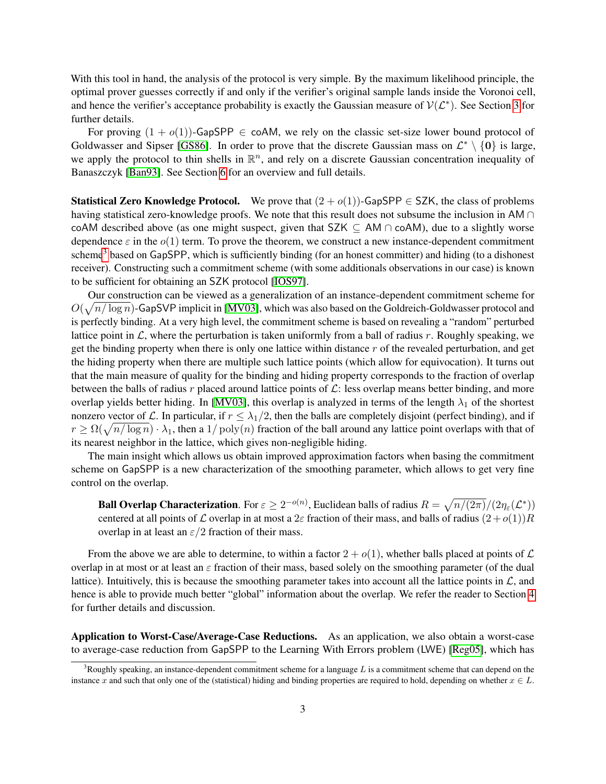With this tool in hand, the analysis of the protocol is very simple. By the maximum likelihood principle, the optimal prover guesses correctly if and only if the verifier's original sample lands inside the Voronoi cell, and hence the verifier's acceptance probability is exactly the Gaussian measure of  $\mathcal{V}(\mathcal{L}^*)$ . See Section [3](#page-7-1) for further details.

For proving  $(1 + o(1))$ -GapSPP  $\in$  coAM, we rely on the classic set-size lower bound protocol of Goldwasser and Sipser [\[GS86\]](#page-25-8). In order to prove that the discrete Gaussian mass on  $\mathcal{L}^* \setminus \{0\}$  is large, we apply the protocol to thin shells in  $\mathbb{R}^n$ , and rely on a discrete Gaussian concentration inequality of Banaszczyk [\[Ban93\]](#page-24-5). See Section [6](#page-20-0) for an overview and full details.

**Statistical Zero Knowledge Protocol.** We prove that  $(2 + o(1))$ -GapSPP  $\in$  SZK, the class of problems having statistical zero-knowledge proofs. We note that this result does not subsume the inclusion in AM  $\cap$ coAM described above (as one might suspect, given that  $SZK \subseteq AM \cap coAM$ ), due to a slightly worse dependence  $\varepsilon$  in the  $o(1)$  term. To prove the theorem, we construct a new instance-dependent commitment scheme<sup>[3](#page-3-0)</sup> based on GapSPP, which is sufficiently binding (for an honest committer) and hiding (to a dishonest receiver). Constructing such a commitment scheme (with some additionals observations in our case) is known to be sufficient for obtaining an SZK protocol [\[IOS97\]](#page-25-9).

Our construction can be viewed as a generalization of an instance-dependent commitment scheme for  $O(\sqrt{n/\log n})$ -GapSVP implicit in [\[MV03\]](#page-25-10), which was also based on the Goldreich-Goldwasser protocol and is perfectly binding. At a very high level, the commitment scheme is based on revealing a "random" perturbed lattice point in  $\mathcal{L}$ , where the perturbation is taken uniformly from a ball of radius r. Roughly speaking, we get the binding property when there is only one lattice within distance  $r$  of the revealed perturbation, and get the hiding property when there are multiple such lattice points (which allow for equivocation). It turns out that the main measure of quality for the binding and hiding property corresponds to the fraction of overlap between the balls of radius r placed around lattice points of  $\mathcal{L}$ : less overlap means better binding, and more overlap yields better hiding. In [\[MV03\]](#page-25-10), this overlap is analyzed in terms of the length  $\lambda_1$  of the shortest nonzero vector of L. In particular, if  $r \leq \lambda_1/2$ , then the balls are completely disjoint (perfect binding), and if  $r \ge \Omega(\sqrt{n/\log n}) \cdot \lambda_1$ , then a  $1/\text{poly}(n)$  fraction of the ball around any lattice point overlaps with that of its nearest neighbor in the lattice, which gives non-negligible hiding.

The main insight which allows us obtain improved approximation factors when basing the commitment scheme on GapSPP is a new characterization of the smoothing parameter, which allows to get very fine control on the overlap.

**Ball Overlap Characterization**. For  $\varepsilon \ge 2^{-o(n)}$ , Euclidean balls of radius  $R = \sqrt{n/(2\pi)}/(2\eta_{\varepsilon}(\mathcal{L}^*))$ centered at all points of L overlap in at most a  $2\varepsilon$  fraction of their mass, and balls of radius  $(2+o(1))R$ overlap in at least an  $\varepsilon/2$  fraction of their mass.

From the above we are able to determine, to within a factor  $2 + o(1)$ , whether balls placed at points of  $\mathcal L$ overlap in at most or at least an  $\varepsilon$  fraction of their mass, based solely on the smoothing parameter (of the dual lattice). Intuitively, this is because the smoothing parameter takes into account all the lattice points in  $\mathcal{L}$ , and hence is able to provide much better "global" information about the overlap. We refer the reader to Section [4](#page-9-0) for further details and discussion.

Application to Worst-Case/Average-Case Reductions. As an application, we also obtain a worst-case to average-case reduction from GapSPP to the Learning With Errors problem (LWE) [\[Reg05\]](#page-25-3), which has

<span id="page-3-0"></span> $3R$ oughly speaking, an instance-dependent commitment scheme for a language L is a commitment scheme that can depend on the instance x and such that only one of the (statistical) hiding and binding properties are required to hold, depending on whether  $x \in L$ .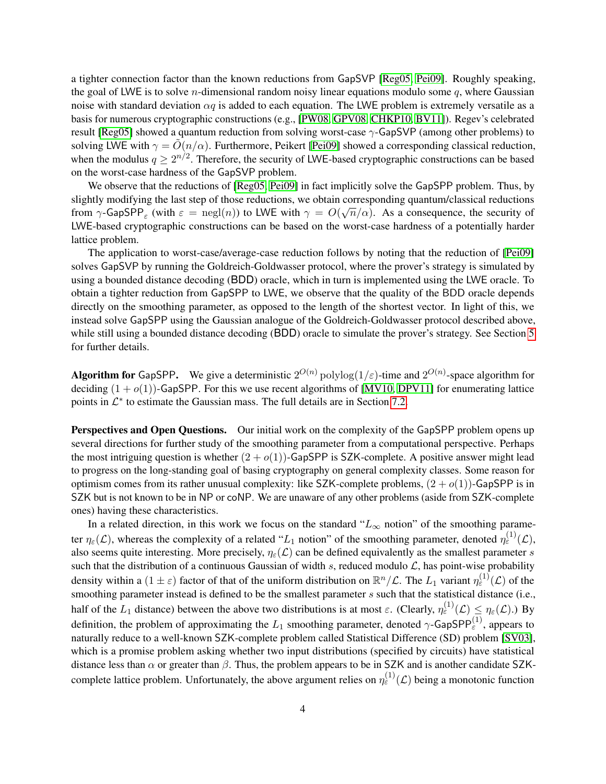a tighter connection factor than the known reductions from GapSVP [\[Reg05,](#page-25-3) [Pei09\]](#page-25-11). Roughly speaking, the goal of LWE is to solve *n*-dimensional random noisy linear equations modulo some  $q$ , where Gaussian noise with standard deviation  $\alpha q$  is added to each equation. The LWE problem is extremely versatile as a basis for numerous cryptographic constructions (e.g., [\[PW08,](#page-25-12) [GPV08,](#page-25-5) [CHKP10,](#page-24-11) [BV11\]](#page-24-12)). Regev's celebrated result [\[Reg05\]](#page-25-3) showed a quantum reduction from solving worst-case  $\gamma$ -GapSVP (among other problems) to solving LWE with  $\gamma = \tilde{O}(n/\alpha)$ . Furthermore, Peikert [\[Pei09\]](#page-25-11) showed a corresponding classical reduction, when the modulus  $q \geq 2^{n/2}$ . Therefore, the security of LWE-based cryptographic constructions can be based on the worst-case hardness of the GapSVP problem.

We observe that the reductions of [\[Reg05,](#page-25-3) [Pei09\]](#page-25-11) in fact implicitly solve the GapSPP problem. Thus, by slightly modifying the last step of those reductions, we obtain corresponding quantum/classical reductions singinity incombing the rast step of those reductions, we obtain corresponding quantumiciassical reductions from  $\gamma$ -GapSPP<sub>ε</sub> (with  $\varepsilon$  = negl(*n*)) to LWE with  $\gamma = O(\sqrt{n}/\alpha)$ . As a consequence, the security of LWE-based cryptographic constructions can be based on the worst-case hardness of a potentially harder lattice problem.

The application to worst-case/average-case reduction follows by noting that the reduction of [\[Pei09\]](#page-25-11) solves GapSVP by running the Goldreich-Goldwasser protocol, where the prover's strategy is simulated by using a bounded distance decoding (BDD) oracle, which in turn is implemented using the LWE oracle. To obtain a tighter reduction from GapSPP to LWE, we observe that the quality of the BDD oracle depends directly on the smoothing parameter, as opposed to the length of the shortest vector. In light of this, we instead solve GapSPP using the Gaussian analogue of the Goldreich-Goldwasser protocol described above, while still using a bounded distance decoding (BDD) oracle to simulate the prover's strategy. See Section [5](#page-18-0) for further details.

**Algorithm for GapSPP.** We give a deterministic  $2^{O(n)}$   $polylog(1/\varepsilon)$ -time and  $2^{O(n)}$ -space algorithm for deciding  $(1 + o(1))$ -GapSPP. For this we use recent algorithms of [\[MV10,](#page-25-13) [DPV11\]](#page-24-13) for enumerating lattice points in  $\mathcal{L}^*$  to estimate the Gaussian mass. The full details are in Section [7.2.](#page-23-1)

Perspectives and Open Questions. Our initial work on the complexity of the GapSPP problem opens up several directions for further study of the smoothing parameter from a computational perspective. Perhaps the most intriguing question is whether  $(2 + o(1))$ -GapSPP is SZK-complete. A positive answer might lead to progress on the long-standing goal of basing cryptography on general complexity classes. Some reason for optimism comes from its rather unusual complexity: like SZK-complete problems,  $(2 + o(1))$ -GapSPP is in SZK but is not known to be in NP or coNP. We are unaware of any other problems (aside from SZK-complete ones) having these characteristics.

In a related direction, in this work we focus on the standard " $L_{\infty}$  notion" of the smoothing parameter  $\eta_{\varepsilon}(\mathcal{L})$ , whereas the complexity of a related "L<sub>1</sub> notion" of the smoothing parameter, denoted  $\eta_{\varepsilon}^{(1)}(\mathcal{L})$ , also seems quite interesting. More precisely,  $\eta_{\varepsilon}(\mathcal{L})$  can be defined equivalently as the smallest parameter s such that the distribution of a continuous Gaussian of width  $s$ , reduced modulo  $\mathcal{L}$ , has point-wise probability density within a  $(1 \pm \varepsilon)$  factor of that of the uniform distribution on  $\mathbb{R}^n/\mathcal{L}$ . The  $L_1$  variant  $\eta_{\varepsilon}^{(1)}(\mathcal{L})$  of the smoothing parameter instead is defined to be the smallest parameter s such that the statistical distance (i.e., half of the  $L_1$  distance) between the above two distributions is at most  $\varepsilon$ . (Clearly,  $\eta_\varepsilon^{(1)}(\mathcal{L}) \le \eta_\varepsilon(\mathcal{L})$ .) By definition, the problem of approximating the  $L_1$  smoothing parameter, denoted  $\gamma$ -GapSPP $_{\varepsilon}^{(1)}$ , appears to naturally reduce to a well-known SZK-complete problem called Statistical Difference (SD) problem [\[SV03\]](#page-25-14), which is a promise problem asking whether two input distributions (specified by circuits) have statistical distance less than  $\alpha$  or greater than  $\beta$ . Thus, the problem appears to be in SZK and is another candidate SZKcomplete lattice problem. Unfortunately, the above argument relies on  $\eta^{(1)}_\varepsilon(\mathcal{L})$  being a monotonic function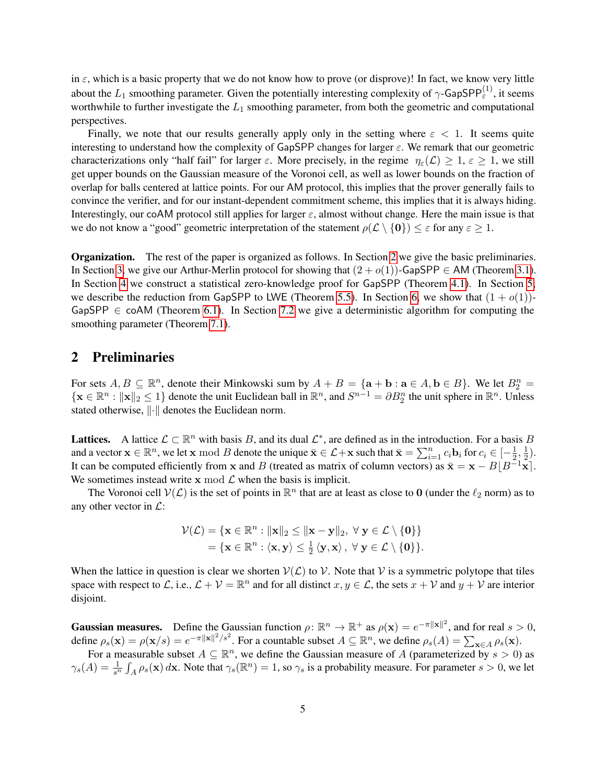in  $\varepsilon$ , which is a basic property that we do not know how to prove (or disprove)! In fact, we know very little about the  $L_1$  smoothing parameter. Given the potentially interesting complexity of  $\gamma$ -GapSPP $_{\epsilon}^{(1)}$ , it seems worthwhile to further investigate the  $L_1$  smoothing parameter, from both the geometric and computational perspectives.

Finally, we note that our results generally apply only in the setting where  $\varepsilon < 1$ . It seems quite interesting to understand how the complexity of GapSPP changes for larger  $\varepsilon$ . We remark that our geometric characterizations only "half fail" for larger  $\varepsilon$ . More precisely, in the regime  $\eta_{\varepsilon}(\mathcal{L}) \geq 1$ ,  $\varepsilon \geq 1$ , we still get upper bounds on the Gaussian measure of the Voronoi cell, as well as lower bounds on the fraction of overlap for balls centered at lattice points. For our AM protocol, this implies that the prover generally fails to convince the verifier, and for our instant-dependent commitment scheme, this implies that it is always hiding. Interestingly, our coAM protocol still applies for larger  $\varepsilon$ , almost without change. Here the main issue is that we do not know a "good" geometric interpretation of the statement  $\rho(\mathcal{L} \setminus \{0\}) \leq \varepsilon$  for any  $\varepsilon \geq 1$ .

Organization. The rest of the paper is organized as follows. In Section [2](#page-5-0) we give the basic preliminaries. In Section [3,](#page-7-1) we give our Arthur-Merlin protocol for showing that  $(2 + o(1))$ -GapSPP  $\in$  AM (Theorem [3.1\)](#page-7-2). In Section [4](#page-9-0) we construct a statistical zero-knowledge proof for GapSPP (Theorem [4.1\)](#page-9-1). In Section [5,](#page-18-0) we describe the reduction from GapSPP to LWE (Theorem [5.5\)](#page-19-0). In Section [6,](#page-20-0) we show that  $(1 + o(1))$ -GapSPP  $\in$  coAM (Theorem [6.1\)](#page-20-1). In Section [7.2](#page-23-1) we give a deterministic algorithm for computing the smoothing parameter (Theorem [7.1\)](#page-23-2).

## <span id="page-5-0"></span>2 Preliminaries

For sets  $A, B \subseteq \mathbb{R}^n$ , denote their Minkowski sum by  $A + B = \{a + b : a \in A, b \in B\}$ . We let  $B_2^n =$  $\{ \mathbf{x} \in \mathbb{R}^n : ||\mathbf{x}||_2 \leq 1 \}$  denote the unit Euclidean ball in  $\mathbb{R}^n$ , and  $S^{n-1} = \partial B_2^n$  the unit sphere in  $\mathbb{R}^n$ . Unless stated otherwise,  $\left\| \cdot \right\|$  denotes the Euclidean norm.

**Lattices.** A lattice  $\mathcal{L} \subset \mathbb{R}^n$  with basis B, and its dual  $\mathcal{L}^*$ , are defined as in the introduction. For a basis B and a vector  $\mathbf{x} \in \mathbb{R}^n$ , we let  $\mathbf{x} \bmod B$  denote the unique  $\bar{\mathbf{x}} \in \mathcal{L} + \mathbf{x}$  such that  $\bar{\mathbf{x}} = \sum_{i=1}^n c_i \mathbf{b}_i$  for  $c_i \in \left[-\frac{1}{2}\right]$  $\frac{1}{2}, \frac{1}{2}$  $(\frac{1}{2})$ . It can be computed efficiently from x and B (treated as matrix of column vectors) as  $\bar{\mathbf{x}} = \mathbf{x} - B[B^{-1}\bar{\mathbf{x}}]$ . We sometimes instead write  $x \mod \mathcal{L}$  when the basis is implicit.

The Voronoi cell  $V(\mathcal{L})$  is the set of points in  $\mathbb{R}^n$  that are at least as close to 0 (under the  $\ell_2$  norm) as to any other vector in  $\mathcal{L}$ :

$$
\mathcal{V}(\mathcal{L}) = \{ \mathbf{x} \in \mathbb{R}^n : ||\mathbf{x}||_2 \le ||\mathbf{x} - \mathbf{y}||_2, \ \forall \ \mathbf{y} \in \mathcal{L} \setminus \{\mathbf{0}\} \} = \{ \mathbf{x} \in \mathbb{R}^n : \langle \mathbf{x}, \mathbf{y} \rangle \le \frac{1}{2} \langle \mathbf{y}, \mathbf{x} \rangle, \ \forall \ \mathbf{y} \in \mathcal{L} \setminus \{\mathbf{0}\} \}.
$$

When the lattice in question is clear we shorten  $V(\mathcal{L})$  to V. Note that V is a symmetric polytope that tiles space with respect to L, i.e.,  $\mathcal{L} + \mathcal{V} = \mathbb{R}^n$  and for all distinct  $x, y \in \mathcal{L}$ , the sets  $x + \mathcal{V}$  and  $y + \mathcal{V}$  are interior disjoint.

**Gaussian measures.** Define the Gaussian function  $\rho \colon \mathbb{R}^n \to \mathbb{R}^+$  as  $\rho(\mathbf{x}) = e^{-\pi ||\mathbf{x}||^2}$ , and for real  $s > 0$ , define  $\rho_s(\mathbf{x}) = \rho(\mathbf{x}/s) = e^{-\pi ||\mathbf{x}||^2/s^2}$ . For a countable subset  $A \subseteq \mathbb{R}^n$ , we define  $\rho_s(A) = \sum_{\mathbf{x} \in A} \rho_s(\mathbf{x})$ .

For a measurable subset  $A \subseteq \mathbb{R}^n$ , we define the Gaussian measure of A (parameterized by  $s > 0$ ) as  $\gamma_s(A) = \frac{1}{s^n} \int_A \rho_s(\mathbf{x}) d\mathbf{x}$ . Note that  $\gamma_s(\mathbb{R}^n) = 1$ , so  $\gamma_s$  is a probability measure. For parameter  $s > 0$ , we let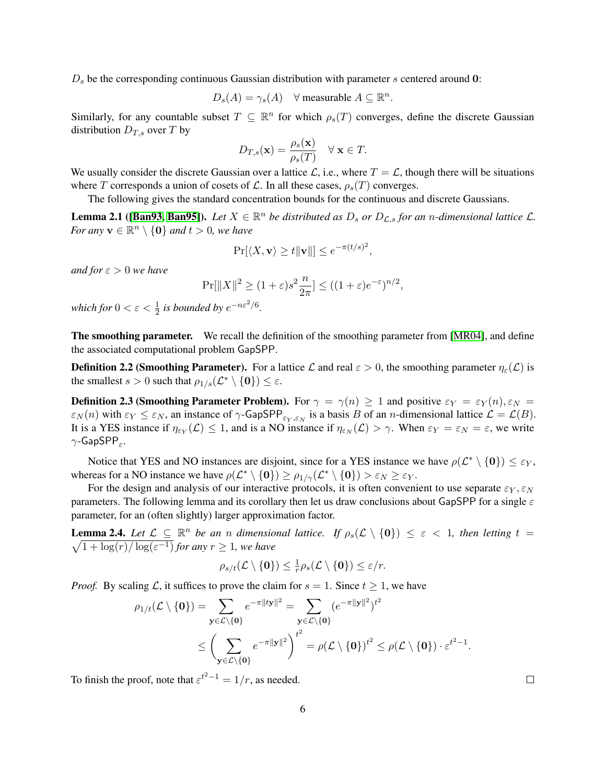$D<sub>s</sub>$  be the corresponding continuous Gaussian distribution with parameter s centered around 0:

$$
D_s(A) = \gamma_s(A) \quad \forall \text{ measurable } A \subseteq \mathbb{R}^n.
$$

Similarly, for any countable subset  $T \subseteq \mathbb{R}^n$  for which  $\rho_s(T)$  converges, define the discrete Gaussian distribution  $D_{T,s}$  over T by

$$
D_{T,s}(\mathbf{x}) = \frac{\rho_s(\mathbf{x})}{\rho_s(T)} \quad \forall \mathbf{x} \in T.
$$

We usually consider the discrete Gaussian over a lattice  $\mathcal{L}$ , i.e., where  $T = \mathcal{L}$ , though there will be situations where T corresponds a union of cosets of  $\mathcal L$ . In all these cases,  $\rho_s(T)$  converges.

The following gives the standard concentration bounds for the continuous and discrete Gaussians.

<span id="page-6-1"></span>**Lemma 2.1** ([\[Ban93,](#page-24-5) [Ban95\]](#page-24-6)). Let  $X \in \mathbb{R}^n$  be distributed as  $D_s$  or  $D_{\mathcal{L},s}$  for an *n*-dimensional lattice  $\mathcal{L}$ . *For any*  $v \in \mathbb{R}^n \setminus \{0\}$  *and*  $t > 0$ *, we have* 

$$
\Pr[\langle X, \mathbf{v} \rangle \ge t ||\mathbf{v}||] \le e^{-\pi (t/s)^2},
$$

*and for*  $\varepsilon > 0$  *we have* 

$$
\Pr[||X||^2 \ge (1+\varepsilon)s^2 \frac{n}{2\pi}] \le ((1+\varepsilon)e^{-\varepsilon})^{n/2},
$$

which for  $0 < \varepsilon < \frac{1}{2}$  is bounded by  $e^{-n\varepsilon^2/6}$ .

The smoothing parameter. We recall the definition of the smoothing parameter from [\[MR04\]](#page-25-2), and define the associated computational problem GapSPP.

**Definition 2.2 (Smoothing Parameter).** For a lattice  $\mathcal L$  and real  $\varepsilon > 0$ , the smoothing parameter  $\eta_{\varepsilon}(\mathcal L)$  is the smallest  $s > 0$  such that  $\rho_{1/s}(\mathcal{L}^* \setminus \{0\}) \leq \varepsilon$ .

<span id="page-6-0"></span>**Definition 2.3 (Smoothing Parameter Problem).** For  $\gamma = \gamma(n) \ge 1$  and positive  $\varepsilon_Y = \varepsilon_Y(n), \varepsilon_N =$  $\varepsilon_N(n)$  with  $\varepsilon_Y \leq \varepsilon_N$ , an instance of  $\gamma$ -GapSPP $_{\varepsilon_Y, \varepsilon_N}$  is a basis B of an *n*-dimensional lattice  $\mathcal{L} = \mathcal{L}(B)$ . It is a YES instance if  $\eta_{\varepsilon_Y}(\mathcal{L}) \leq 1$ , and is a NO instance if  $\eta_{\varepsilon_N}(\mathcal{L}) > \gamma$ . When  $\varepsilon_Y = \varepsilon_N = \varepsilon$ , we write  $\gamma$ -GapSPP $_\varepsilon$ .

Notice that YES and NO instances are disjoint, since for a YES instance we have  $\rho(\mathcal{L}^* \setminus \{0\}) \leq \varepsilon_Y$ , whereas for a NO instance we have  $\rho(\mathcal{L}^* \setminus \{0\}) \geq \rho_{1/\gamma}(\mathcal{L}^* \setminus \{0\}) > \varepsilon_N \geq \varepsilon_Y$ .

For the design and analysis of our interactive protocols, it is often convenient to use separate  $\varepsilon_Y$ ,  $\varepsilon_N$ parameters. The following lemma and its corollary then let us draw conclusions about GapSPP for a single  $\varepsilon$ parameter, for an (often slightly) larger approximation factor.

**Lemma 2.4.** Let  $\mathcal{L} \subseteq \mathbb{R}^n$  be an n dimensional lattice. If  $\rho_s(\mathcal{L} \setminus \{0\}) \leq \varepsilon < 1$ , then letting  $t =$  $\sqrt{1 + \log(r) / \log(\varepsilon^{-1})}$  *for any*  $r \geq 1$ *, we have* 

$$
\rho_{s/t}(\mathcal{L}\setminus\{\mathbf{0}\})\leq \tfrac{1}{r}\rho_s(\mathcal{L}\setminus\{\mathbf{0}\})\leq \varepsilon/r.
$$

*Proof.* By scaling L, it suffices to prove the claim for  $s = 1$ . Since  $t \ge 1$ , we have

$$
\rho_{1/t}(\mathcal{L}\setminus\{\mathbf{0}\}) = \sum_{\mathbf{y}\in\mathcal{L}\setminus\{\mathbf{0}\}} e^{-\pi||\mathbf{y}||^2} = \sum_{\mathbf{y}\in\mathcal{L}\setminus\{\mathbf{0}\}} (e^{-\pi||\mathbf{y}||^2})^{t^2}
$$

$$
\leq \left(\sum_{\mathbf{y}\in\mathcal{L}\setminus\{\mathbf{0}\}} e^{-\pi||\mathbf{y}||^2}\right)^{t^2} = \rho(\mathcal{L}\setminus\{\mathbf{0}\})^{t^2} \leq \rho(\mathcal{L}\setminus\{\mathbf{0}\}) \cdot \varepsilon^{t^2-1}.
$$

To finish the proof, note that  $\varepsilon^{t^2-1} = 1/r$ , as needed.

 $\Box$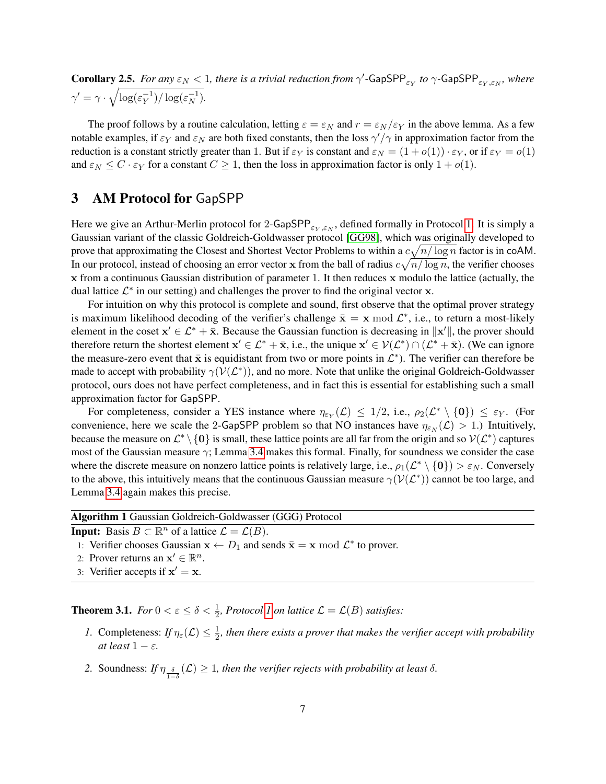<span id="page-7-0"></span> $Corollary 2.5$ . For any  $\varepsilon_N < 1$ , there is a trivial reduction from  $\gamma'$ -GapSPP<sub> $\varepsilon_Y$ </sub> to  $\gamma$ -GapSPP<sub> $\varepsilon_Y$ , $\varepsilon_N$ , where</sub>  $\gamma' = \gamma \cdot \sqrt{\log(\varepsilon_Y^{-1})}$  $(\epsilon_N^{-1})/\log(\epsilon_N^{-1})$  $\frac{-1}{N}$ ).

The proof follows by a routine calculation, letting  $\varepsilon = \varepsilon_N$  and  $r = \varepsilon_N/\varepsilon_Y$  in the above lemma. As a few notable examples, if  $\varepsilon_Y$  and  $\varepsilon_N$  are both fixed constants, then the loss  $\gamma'/\gamma$  in approximation factor from the reduction is a constant strictly greater than 1. But if  $\varepsilon_Y$  is constant and  $\varepsilon_N = (1 + o(1)) \cdot \varepsilon_Y$ , or if  $\varepsilon_Y = o(1)$ and  $\varepsilon_N \leq C \cdot \varepsilon_Y$  for a constant  $C \geq 1$ , then the loss in approximation factor is only  $1 + o(1)$ .

# <span id="page-7-1"></span>3 AM Protocol for GapSPP

Here we give an Arthur-Merlin protocol for 2-GapSPP $_{\varepsilon_Y,\varepsilon_N}$ , defined formally in Protocol [1.](#page-7-3) It is simply a Gaussian variant of the classic Goldreich-Goldwasser protocol [\[GG98\]](#page-24-8), which was originally developed to prove that approximating the Closest and Shortest Vector Problems to within a  $c\sqrt{n/\log n}$  factor is in coAM. In our protocol, instead of choosing an error vector x from the ball of radius  $c\sqrt{n/\log n}$ , the verifier chooses x from a continuous Gaussian distribution of parameter 1. It then reduces x modulo the lattice (actually, the dual lattice  $\mathcal{L}^*$  in our setting) and challenges the prover to find the original vector x.

For intuition on why this protocol is complete and sound, first observe that the optimal prover strategy is maximum likelihood decoding of the verifier's challenge  $\bar{\mathbf{x}} = \mathbf{x} \mod \mathcal{L}^*$ , i.e., to return a most-likely element in the coset  $x' \in \mathcal{L}^* + \bar{x}$ . Because the Gaussian function is decreasing in  $||x'||$ , the prover should therefore return the shortest element  $x' \in \mathcal{L}^* + \bar{x}$ , i.e., the unique  $x' \in \mathcal{V}(\mathcal{L}^*) \cap (\mathcal{L}^* + \bar{x})$ . (We can ignore the measure-zero event that  $\bar{x}$  is equidistant from two or more points in  $\mathcal{L}^*$ ). The verifier can therefore be made to accept with probability  $\gamma(V(\mathcal{L}^*))$ , and no more. Note that unlike the original Goldreich-Goldwasser protocol, ours does not have perfect completeness, and in fact this is essential for establishing such a small approximation factor for GapSPP.

For completeness, consider a YES instance where  $\eta_{\varepsilon_Y}(\mathcal{L}) \leq 1/2$ , i.e.,  $\rho_2(\mathcal{L}^* \setminus \{0\}) \leq \varepsilon_Y$ . (For convenience, here we scale the 2-GapSPP problem so that NO instances have  $\eta_{\varepsilon_N}(\mathcal{L}) > 1$ .) Intuitively, because the measure on  $\mathcal{L}^* \setminus \{0\}$  is small, these lattice points are all far from the origin and so  $\mathcal{V}(\mathcal{L}^*)$  captures most of the Gaussian measure  $\gamma$ ; Lemma [3.4](#page-8-0) makes this formal. Finally, for soundness we consider the case where the discrete measure on nonzero lattice points is relatively large, i.e.,  $\rho_1(\mathcal{L}^* \setminus \{0\}) > \varepsilon_N$ . Conversely to the above, this intuitively means that the continuous Gaussian measure  $\gamma(\mathcal{V}(\mathcal{L}^*))$  cannot be too large, and Lemma [3.4](#page-8-0) again makes this precise.

#### Algorithm 1 Gaussian Goldreich-Goldwasser (GGG) Protocol

<span id="page-7-3"></span>**Input:** Basis  $B \subset \mathbb{R}^n$  of a lattice  $\mathcal{L} = \mathcal{L}(B)$ .

- 1: Verifier chooses Gaussian  $\mathbf{x} \leftarrow D_1$  and sends  $\bar{\mathbf{x}} = \mathbf{x} \mod L^*$  to prover.
- 2: Prover returns an  $\mathbf{x}' \in \mathbb{R}^n$ .
- 3: Verifier accepts if  $x' = x$ .

<span id="page-7-2"></span>**Theorem 3.1.** *For*  $0 < \varepsilon \le \delta < \frac{1}{2}$ *, Protocol [1](#page-7-3) on lattice*  $\mathcal{L} = \mathcal{L}(B)$  *satisfies:* 

- *1.* Completeness: *If*  $\eta_{\varepsilon}(\mathcal{L}) \leq \frac{1}{2}$  $\frac{1}{2}$ , then there exists a prover that makes the verifier accept with probability *at least*  $1 - \varepsilon$ *.*
- 2. Soundness: *If*  $\eta_{\frac{\delta}{1-\delta}}(\mathcal{L}) \geq 1$ , then the verifier rejects with probability at least  $\delta$ .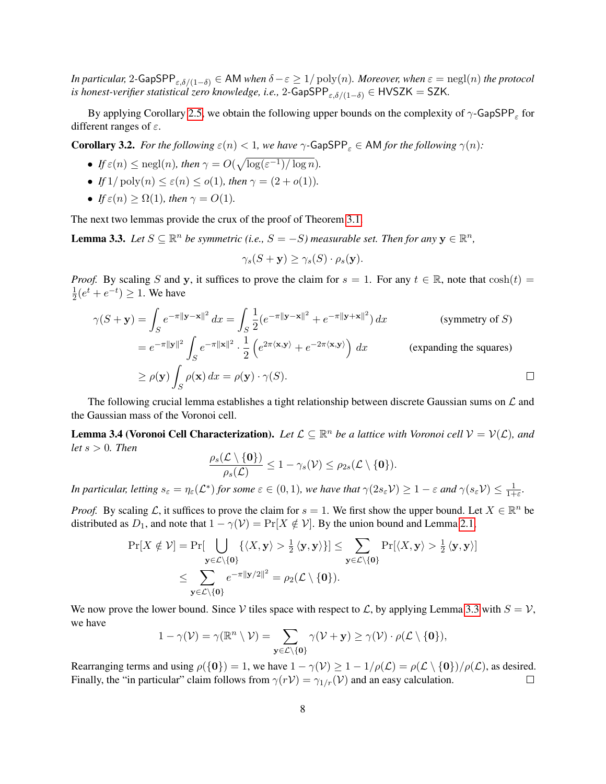*In particular,* 2-GapSPP<sub>ε,δ/(1–δ)</sub>  $\in$  AM *when*  $\delta - \varepsilon \geq 1/poly(n)$ *. Moreover, when*  $\varepsilon = negl(n)$  *the protocol is honest-verifier statistical zero knowledge, i.e.,* 2-GapSPP<sub> $\varepsilon, \delta/(1-\delta) \in$  HVSZK = SZK.</sub>

By applying Corollary [2.5,](#page-7-0) we obtain the following upper bounds on the complexity of  $\gamma$ -GapSPP<sub> $_{\varepsilon}$ </sub> for different ranges of  $\varepsilon$ .

**Corollary 3.2.** *For the following*  $\varepsilon(n) < 1$ *, we have*  $\gamma$ -GapSPP<sub> $\varepsilon$ </sub>  $\in$  AM *for the following*  $\gamma(n)$ *:* 

• 
$$
If \varepsilon(n) \le \text{negl}(n), then \ \gamma = O(\sqrt{\log(\varepsilon^{-1})/\log n}).
$$

- *If*  $1/\text{poly}(n) \leq \varepsilon(n) \leq o(1)$ *, then*  $\gamma = (2 + o(1))$ *.*
- *If*  $\varepsilon(n) > \Omega(1)$ *, then*  $\gamma = O(1)$ *.*

The next two lemmas provide the crux of the proof of Theorem [3.1.](#page-7-2)

<span id="page-8-1"></span>**Lemma 3.3.** Let  $S \subseteq \mathbb{R}^n$  be symmetric (i.e.,  $S = -S$ ) measurable set. Then for any  $y \in \mathbb{R}^n$ ,

$$
\gamma_s(S+\mathbf{y}) \geq \gamma_s(S) \cdot \rho_s(\mathbf{y}).
$$

*Proof.* By scaling S and y, it suffices to prove the claim for  $s = 1$ . For any  $t \in \mathbb{R}$ , note that  $cosh(t) =$ 1  $\frac{1}{2}(e^{t} + e^{-t}) \ge 1$ . We have

$$
\gamma(S + \mathbf{y}) = \int_{S} e^{-\pi ||\mathbf{y} - \mathbf{x}||^{2}} dx = \int_{S} \frac{1}{2} (e^{-\pi ||\mathbf{y} - \mathbf{x}||^{2}} + e^{-\pi ||\mathbf{y} + \mathbf{x}||^{2}}) dx \qquad \text{(symmetry of } S)
$$
  
\n
$$
= e^{-\pi ||\mathbf{y}||^{2}} \int_{S} e^{-\pi ||\mathbf{x}||^{2}} \cdot \frac{1}{2} \left( e^{2\pi \langle \mathbf{x}, \mathbf{y} \rangle} + e^{-2\pi \langle \mathbf{x}, \mathbf{y} \rangle} \right) dx \qquad \text{(expanding the squares)}
$$
  
\n
$$
\geq \rho(\mathbf{y}) \int_{S} \rho(\mathbf{x}) dx = \rho(\mathbf{y}) \cdot \gamma(S).
$$

The following crucial lemma establishes a tight relationship between discrete Gaussian sums on  $\mathcal L$  and the Gaussian mass of the Voronoi cell.

<span id="page-8-0"></span>**Lemma 3.4 (Voronoi Cell Characterization).** Let  $\mathcal{L} \subseteq \mathbb{R}^n$  be a lattice with Voronoi cell  $\mathcal{V} = \mathcal{V}(\mathcal{L})$ , and *let* s > 0*. Then*

$$
\frac{\rho_s(\mathcal{L}\setminus{\{\mathbf{0}\}})}{\rho_s(\mathcal{L})}\leq 1-\gamma_s(\mathcal{V})\leq \rho_{2s}(\mathcal{L}\setminus{\{\mathbf{0}\}}).
$$

*In particular, letting*  $s_{\varepsilon} = \eta_{\varepsilon}(\mathcal{L}^*)$  *for some*  $\varepsilon \in (0,1)$ *, we have that*  $\gamma(2s_{\varepsilon} \mathcal{V}) \geq 1 - \varepsilon$  and  $\gamma(s_{\varepsilon} \mathcal{V}) \leq \frac{1}{1 + \varepsilon}$  $\frac{1}{1+\varepsilon}$ .

*Proof.* By scaling L, it suffices to prove the claim for  $s = 1$ . We first show the upper bound. Let  $X \in \mathbb{R}^n$  be distributed as  $D_1$ , and note that  $1 - \gamma(\mathcal{V}) = \Pr[X \notin \mathcal{V}]$ . By the union bound and Lemma [2.1,](#page-6-1)

$$
\Pr[X \notin \mathcal{V}] = \Pr[\bigcup_{\mathbf{y} \in \mathcal{L} \setminus \{\mathbf{0}\}} \{ \langle X, \mathbf{y} \rangle > \frac{1}{2} \langle \mathbf{y}, \mathbf{y} \rangle \}] \leq \sum_{\mathbf{y} \in \mathcal{L} \setminus \{\mathbf{0}\}} \Pr[\langle X, \mathbf{y} \rangle > \frac{1}{2} \langle \mathbf{y}, \mathbf{y} \rangle] \leq \sum_{\mathbf{y} \in \mathcal{L} \setminus \{\mathbf{0}\}} e^{-\pi ||\mathbf{y}/2||^2} = \rho_2(\mathcal{L} \setminus \{\mathbf{0}\}).
$$

We now prove the lower bound. Since V tiles space with respect to L, by applying Lemma [3.3](#page-8-1) with  $S = V$ , we have

$$
1 - \gamma(\mathcal{V}) = \gamma(\mathbb{R}^n \setminus \mathcal{V}) = \sum_{\mathbf{y} \in \mathcal{L} \setminus \{\mathbf{0}\}} \gamma(\mathcal{V} + \mathbf{y}) \geq \gamma(\mathcal{V}) \cdot \rho(\mathcal{L} \setminus \{\mathbf{0}\}),
$$

Rearranging terms and using  $\rho({0}) = 1$ , we have  $1 - \gamma(\mathcal{V}) \ge 1 - 1/\rho(\mathcal{L}) = \rho(\mathcal{L} \setminus {0})/\rho(\mathcal{L})$ , as desired. Finally, the "in particular" claim follows from  $\gamma(rV) = \gamma_{1/r}(V)$  and an easy calculation.  $\Box$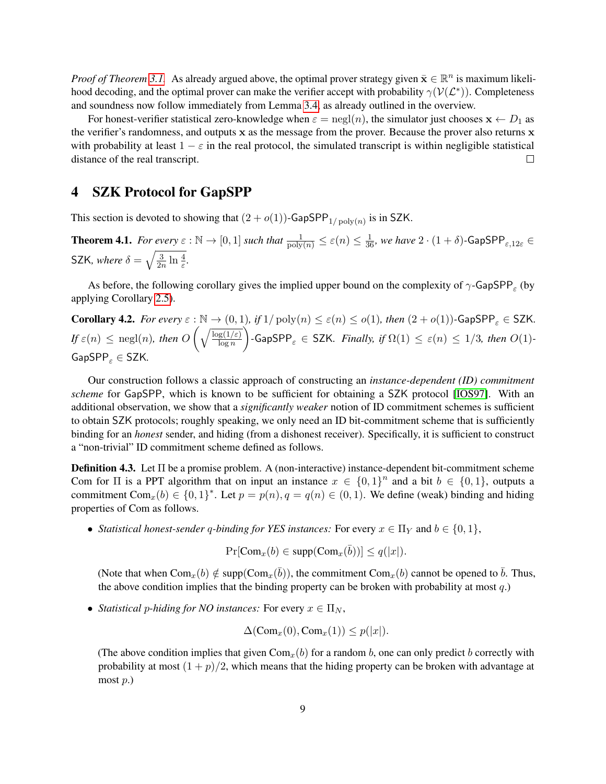*Proof of Theorem [3.1.](#page-7-2)* As already argued above, the optimal prover strategy given  $\bar{\mathbf{x}} \in \mathbb{R}^n$  is maximum likelihood decoding, and the optimal prover can make the verifier accept with probability  $\gamma(\mathcal{V}(\mathcal{L}^*))$ . Completeness and soundness now follow immediately from Lemma [3.4,](#page-8-0) as already outlined in the overview.

For honest-verifier statistical zero-knowledge when  $\varepsilon = \text{negl}(n)$ , the simulator just chooses  $\mathbf{x} \leftarrow D_1$  as the verifier's randomness, and outputs x as the message from the prover. Because the prover also returns x with probability at least  $1 - \varepsilon$  in the real protocol, the simulated transcript is within negligible statistical distance of the real transcript. П

# <span id="page-9-0"></span>4 SZK Protocol for GapSPP

This section is devoted to showing that  $(2+o(1))$ -GapSPP<sub>1/poly(n)</sub> is in SZK.

<span id="page-9-1"></span>**Theorem 4.1.** For every  $\varepsilon$  :  $\mathbb{N} \to [0,1]$  such that  $\frac{1}{\text{poly}(n)} \leq \varepsilon(n) \leq \frac{1}{36}$ , we have  $2 \cdot (1+\delta)$ -GapSPP<sub> $\varepsilon$ ,12 $\varepsilon$   $\in$ </sub> **SZK**, where  $\delta = \sqrt{\frac{3}{2r}}$  $\frac{3}{2n}\ln\frac{4}{\varepsilon}$ .

As before, the following corollary gives the implied upper bound on the complexity of  $\gamma$ -GapSPP<sub> $_{\varepsilon}$ </sub> (by applying Corollary [2.5\)](#page-7-0).

**Corollary 4.2.** *For every*  $\varepsilon$  :  $\mathbb{N} \to (0,1)$ *, if*  $1/\text{poly}(n) \leq \varepsilon(n) \leq o(1)$ *, then*  $(2+o(1))$ -GapSPP<sub> $\varepsilon$ </sub>  $\in$  SZK. *If*  $\varepsilon(n) \leq$  negl(n), then  $O\left(\sqrt{\frac{\log(1/\varepsilon)}{\log n}}\right)$  $\overline{\log n}$  $\Big)$ -GapSPP<sub> $\varepsilon$ </sub>  $\in$  SZK*. Finally, if*  $\Omega(1) \leq \varepsilon(n) \leq 1/3$ *, then*  $O(1)$ -GapSPP<sup>ε</sup> ∈ SZK*.*

Our construction follows a classic approach of constructing an *instance-dependent (ID) commitment scheme* for GapSPP, which is known to be sufficient for obtaining a SZK protocol [\[IOS97\]](#page-25-9). With an additional observation, we show that a *significantly weaker* notion of ID commitment schemes is sufficient to obtain SZK protocols; roughly speaking, we only need an ID bit-commitment scheme that is sufficiently binding for an *honest* sender, and hiding (from a dishonest receiver). Specifically, it is sufficient to construct a "non-trivial" ID commitment scheme defined as follows.

<span id="page-9-2"></span>Definition 4.3. Let Π be a promise problem. A (non-interactive) instance-dependent bit-commitment scheme Com for  $\Pi$  is a PPT algorithm that on input an instance  $x \in \{0,1\}^n$  and a bit  $b \in \{0,1\}$ , outputs a commitment Com<sub>x</sub>(b)  $\in \{0,1\}^*$ . Let  $p = p(n), q = q(n) \in (0,1)$ . We define (weak) binding and hiding properties of Com as follows.

• *Statistical honest-sender q-binding for YES instances:* For every  $x \in \Pi_Y$  and  $b \in \{0, 1\}$ ,

 $Pr[Com_x(b) \in supp(Com_x(\bar{b}))] \leq q(|x|).$ 

(Note that when  $Com_x(b) \notin \text{supp}(Com_x(\bar{b}))$ , the commitment  $Com_x(b)$  cannot be opened to  $\bar{b}$ . Thus, the above condition implies that the binding property can be broken with probability at most  $q$ .)

• *Statistical p-hiding for NO instances:* For every  $x \in \Pi_N$ ,

$$
\Delta(\mathrm{Com}_x(0),\mathrm{Com}_x(1)) \leq p(|x|).
$$

(The above condition implies that given  $Com_x(b)$  for a random b, one can only predict b correctly with probability at most  $(1 + p)/2$ , which means that the hiding property can be broken with advantage at most p.)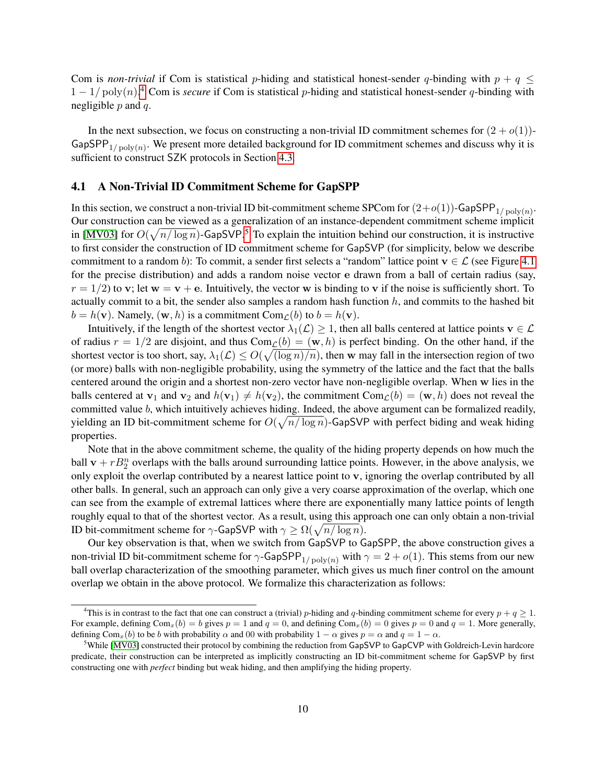Com is *non-trivial* if Com is statistical p-hiding and statistical honest-sender q-binding with  $p + q \leq$ 1 − 1/ poly(n). [4](#page-10-0) Com is *secure* if Com is statistical p-hiding and statistical honest-sender q-binding with negligible  $p$  and  $q$ .

In the next subsection, we focus on constructing a non-trivial ID commitment schemes for  $(2 + o(1))$ -GapSPP<sub>1/poly(n)</sub>. We present more detailed background for ID commitment schemes and discuss why it is sufficient to construct SZK protocols in Section [4.3.](#page-17-0)

#### 4.1 A Non-Trivial ID Commitment Scheme for GapSPP

In this section, we construct a non-trivial ID bit-commitment scheme SPCom for  $(2+o(1))$ -GapSPP<sub>1/poly(n)</sub>. Our construction can be viewed as a generalization of an instance-dependent commitment scheme implicit in [\[MV03\]](#page-25-10) for  $O(\sqrt{n/\log n})$ -GapSVP.<sup>[5](#page-10-1)</sup> To explain the intuition behind our construction, it is instructive to first consider the construction of ID commitment scheme for GapSVP (for simplicity, below we describe commitment to a random b): To commit, a sender first selects a "random" lattice point  $\mathbf{v} \in \mathcal{L}$  (see Figure [4.1](#page-11-0)) for the precise distribution) and adds a random noise vector e drawn from a ball of certain radius (say,  $r = 1/2$ ) to v; let  $w = v + e$ . Intuitively, the vector w is binding to v if the noise is sufficiently short. To actually commit to a bit, the sender also samples a random hash function  $h$ , and commits to the hashed bit  $b = h(\mathbf{v})$ . Namely,  $(\mathbf{w}, h)$  is a commitment  $Com_{\mathcal{L}}(b)$  to  $b = h(\mathbf{v})$ .

Intuitively, if the length of the shortest vector  $\lambda_1(\mathcal{L}) \geq 1$ , then all balls centered at lattice points  $\mathbf{v} \in \mathcal{L}$ of radius  $r = 1/2$  are disjoint, and thus  $Com_{\mathcal{L}}(b) = (\mathbf{w}, h)$  is perfect binding. On the other hand, if the shortest vector is too short, say,  $\lambda_1(\mathcal{L}) \leq O(\sqrt{(\log n) / n})$ , then w may fall in the intersection region of two (or more) balls with non-negligible probability, using the symmetry of the lattice and the fact that the balls centered around the origin and a shortest non-zero vector have non-negligible overlap. When w lies in the balls centered at  $\mathbf{v}_1$  and  $\mathbf{v}_2$  and  $h(\mathbf{v}_1) \neq h(\mathbf{v}_2)$ , the commitment Com<sub>L</sub>(b) = (w, h) does not reveal the committed value b, which intuitively achieves hiding. Indeed, the above argument can be formalized readily, yielding an ID bit-commitment scheme for  $O(\sqrt{n/\log n})$ -GapSVP with perfect biding and weak hiding properties.

Note that in the above commitment scheme, the quality of the hiding property depends on how much the ball  $\mathbf{v} + rB_2^n$  overlaps with the balls around surrounding lattice points. However, in the above analysis, we only exploit the overlap contributed by a nearest lattice point to v, ignoring the overlap contributed by all other balls. In general, such an approach can only give a very coarse approximation of the overlap, which one can see from the example of extremal lattices where there are exponentially many lattice points of length roughly equal to that of the shortest vector. As a result, using this approach one can only obtain a non-trivial ID bit-commitment scheme for  $\gamma$ -GapSVP with  $\gamma \geq \Omega(\sqrt{n/\log n})$ .

Our key observation is that, when we switch from GapSVP to GapSPP, the above construction gives a non-trivial ID bit-commitment scheme for  $\gamma$ -GapSPP<sub>1/poly(n)</sub> with  $\gamma = 2 + o(1)$ . This stems from our new ball overlap characterization of the smoothing parameter, which gives us much finer control on the amount overlap we obtain in the above protocol. We formalize this characterization as follows:

<span id="page-10-2"></span><span id="page-10-0"></span><sup>&</sup>lt;sup>4</sup>This is in contrast to the fact that one can construct a (trivial) p-hiding and q-binding commitment scheme for every  $p + q \ge 1$ . For example, defining Com<sub>x</sub>(b) = b gives  $p = 1$  and  $q = 0$ , and defining Com<sub>x</sub>(b) = 0 gives  $p = 0$  and  $q = 1$ . More generally, defining Com<sub>x</sub>(b) to be b with probability  $\alpha$  and 00 with probability  $1 - \alpha$  gives  $p = \alpha$  and  $q = 1 - \alpha$ .

<span id="page-10-1"></span><sup>&</sup>lt;sup>5</sup>While [\[MV03\]](#page-25-10) constructed their protocol by combining the reduction from GapSVP to GapCVP with Goldreich-Levin hardcore predicate, their construction can be interpreted as implicitly constructing an ID bit-commitment scheme for GapSVP by first constructing one with *perfect* binding but weak hiding, and then amplifying the hiding property.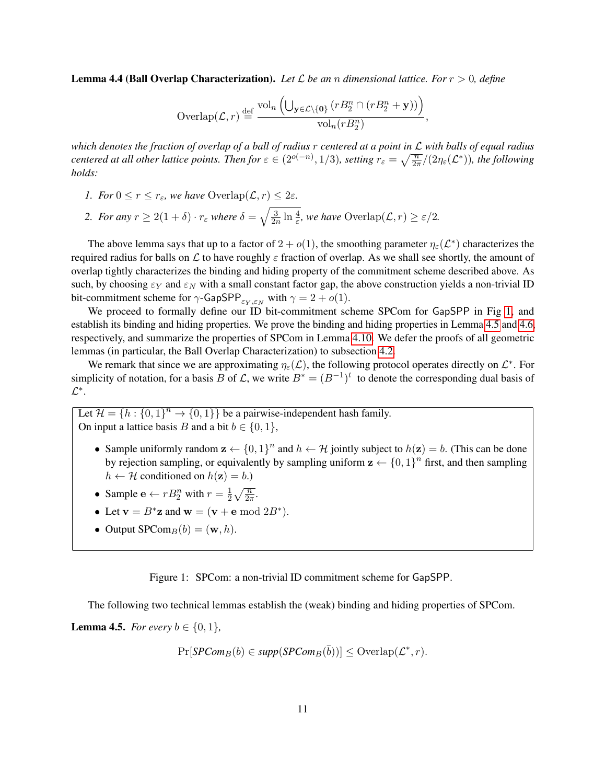Lemma 4.4 (Ball Overlap Characterization). *Let* L *be an* n *dimensional lattice. For* r > 0*, define*

$$
\text{Overlap}(\mathcal{L},r) \stackrel{\text{def}}{=} \frac{\text{vol}_n \left( \bigcup_{\mathbf{y} \in \mathcal{L} \setminus \{\mathbf{0}\}} (rB_2^n \cap (rB_2^n + \mathbf{y})) \right)}{\text{vol}_n(rB_2^n)},
$$

*which denotes the fraction of overlap of a ball of radius* r *centered at a point in* L *with balls of equal radius centered at all other lattice points. Then for*  $\varepsilon \in (2^{o(-n)}, 1/3)$ *, setting*  $r_\varepsilon = \sqrt{\frac{n}{2\pi}}/(2\eta_\varepsilon(\mathcal{L}^*))$ *, the following holds:*

- *1. For*  $0 \le r \le r_{\varepsilon}$ , we have  $\text{Overlap}(\mathcal{L}, r) \le 2\varepsilon$ .
- <span id="page-11-0"></span>2. For any  $r \geq 2(1+\delta) \cdot r_{\varepsilon}$  where  $\delta = \sqrt{\frac{3}{2r}}$  $\frac{3}{2n}\ln\frac{4}{\varepsilon}$ , we have  $\text{Overlap}(\mathcal{L},r)\geq \varepsilon/2$ .

The above lemma says that up to a factor of  $2 + o(1)$ , the smoothing parameter  $\eta_{\varepsilon}(\mathcal{L}^*)$  characterizes the required radius for balls on L to have roughly  $\varepsilon$  fraction of overlap. As we shall see shortly, the amount of overlap tightly characterizes the binding and hiding property of the commitment scheme described above. As such, by choosing  $\varepsilon_Y$  and  $\varepsilon_N$  with a small constant factor gap, the above construction yields a non-trivial ID bit-commitment scheme for  $\gamma$ -GapSPP $_{\varepsilon_Y,\varepsilon_N}$  with  $\gamma = 2 + o(1)$ .

We proceed to formally define our ID bit-commitment scheme SPCom for GapSPP in Fig [1,](#page-11-1) and establish its binding and hiding properties. We prove the binding and hiding properties in Lemma [4.5](#page-11-2) and [4.6,](#page-12-0) respectively, and summarize the properties of SPCom in Lemma [4.10.](#page-14-0) We defer the proofs of all geometric lemmas (in particular, the Ball Overlap Characterization) to subsection [4.2.](#page-15-0)

We remark that since we are approximating  $\eta_{\varepsilon}(\mathcal{L})$ , the following protocol operates directly on  $\mathcal{L}^*$ . For simplicity of notation, for a basis B of L, we write  $B^* = (B^{-1})^t$  to denote the corresponding dual basis of  $\mathcal{L}^*$ .

Let  $\mathcal{H} = \{h : \{0, 1\}^n \to \{0, 1\}\}\$  be a pairwise-independent hash family. On input a lattice basis B and a bit  $b \in \{0, 1\}$ ,

- Sample uniformly random  $\mathbf{z} \leftarrow \{0,1\}^n$  and  $h \leftarrow \mathcal{H}$  jointly subject to  $h(\mathbf{z}) = b$ . (This can be done by rejection sampling, or equivalently by sampling uniform  $\mathbf{z} \leftarrow \{0,1\}^n$  first, and then sampling  $h \leftarrow H$  conditioned on  $h(\mathbf{z}) = b$ .)
- Sample  $e \leftarrow rB_2^n$  with  $r = \frac{1}{2}$  $rac{1}{2}\sqrt{\frac{n}{2\pi}}$ .
- Let  $\mathbf{v} = B^* \mathbf{z}$  and  $\mathbf{w} = (\mathbf{v} + \mathbf{e} \bmod 2B^*)$ .
- Output  $SPComp(b) = (\mathbf{w}, h)$ .

Figure 1: SPCom: a non-trivial ID commitment scheme for GapSPP.

<span id="page-11-1"></span>The following two technical lemmas establish the (weak) binding and hiding properties of SPCom.

<span id="page-11-2"></span>**Lemma 4.5.** *For every*  $b \in \{0, 1\}$ *,* 

$$
Pr[SPCom_B(b) \in supp(SPCom_B(\bar{b}))] \leq \text{Overall}(L^*, r).
$$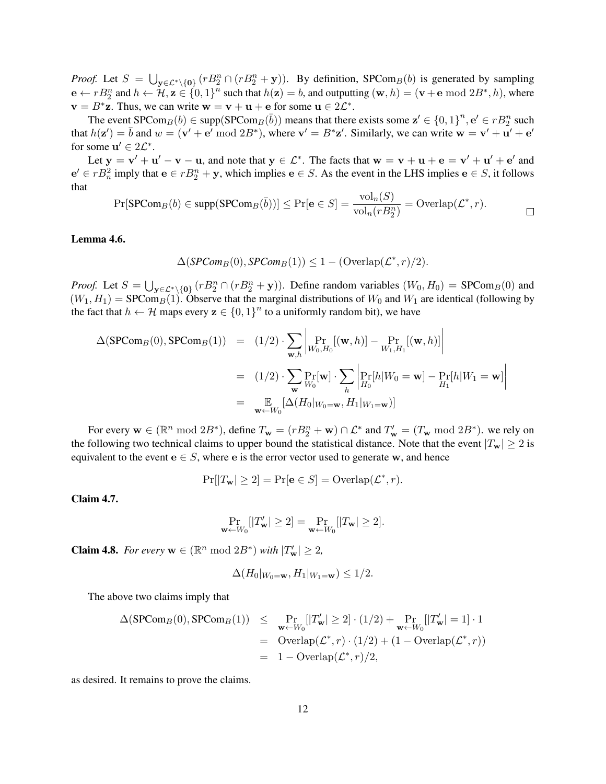*Proof.* Let  $S = \bigcup_{\mathbf{y} \in \mathcal{L}^* \setminus \{\mathbf{0}\}} (rB_2^n \cap (rB_2^n + \mathbf{y}))$ . By definition, SPCom<sub>B</sub>(b) is generated by sampling  $\mathbf{e} \leftarrow rB_2^n$  and  $h \leftarrow \mathcal{H}, \mathbf{z} \in \{0,1\}^n$  such that  $h(\mathbf{z}) = b$ , and outputting  $(\mathbf{w}, h) = (\mathbf{v} + \mathbf{e} \bmod 2B^*, h)$ , where  $\mathbf{v} = B^* \mathbf{z}$ . Thus, we can write  $\mathbf{w} = \mathbf{v} + \mathbf{u} + \mathbf{e}$  for some  $\mathbf{u} \in 2\mathcal{L}^*$ .

The event SPCom<sub>B</sub> $(b) \in \text{supp}(\text{SPCom}_B(\bar{b}))$  means that there exists some  $\mathbf{z}' \in \{0,1\}^n, \mathbf{e}' \in rB_2^n$  such that  $h(z') = \bar{b}$  and  $w = (\mathbf{v}' + \mathbf{e}' \bmod 2B^*)$ , where  $\mathbf{v}' = B^* \mathbf{z}'$ . Similarly, we can write  $\mathbf{w} = \mathbf{v}' + \mathbf{u}' + \mathbf{e}'$ for some  $\mathbf{u}' \in 2\mathcal{L}^*$ .

Let  $y = v' + u' - v - u$ , and note that  $y \in \mathcal{L}^*$ . The facts that  $w = v + u + e = v' + u' + e'$  and  $e' \in rB_n^2$  imply that  $e \in rB_2^n + y$ , which implies  $e \in S$ . As the event in the LHS implies  $e \in S$ , it follows that

$$
\Pr[\text{SPCom}_B(b) \in \text{supp}(\text{SPCom}_B(\bar{b}))] \le \Pr[\mathbf{e} \in S] = \frac{\text{vol}_n(S)}{\text{vol}_n(rB_2^n)} = \text{Overlap}(\mathcal{L}^*, r).
$$

#### <span id="page-12-0"></span>Lemma 4.6.

$$
\Delta(SPCom_B(0), SPCom_B(1)) \le 1 - (\text{Overlap}(\mathcal{L}^*, r)/2).
$$

*Proof.* Let  $S = \bigcup_{\mathbf{y} \in \mathcal{L}^* \setminus \{\mathbf{0}\}} (rB_2^n \cap (rB_2^n + \mathbf{y}))$ . Define random variables  $(W_0, H_0) = \text{SPCom}_B(0)$  and  $(W_1, H_1) = \text{SPCom}_B(1)$ . Observe that the marginal distributions of  $W_0$  and  $W_1$  are identical (following by the fact that  $h \leftarrow \mathcal{H}$  maps every  $\mathbf{z} \in \{0,1\}^n$  to a uniformly random bit), we have

$$
\Delta(\text{SPCom}_B(0), \text{SPCom}_B(1)) = (1/2) \cdot \sum_{\mathbf{w},h} \left| \Pr_{W_0, H_0} [(\mathbf{w}, h)] - \Pr_{W_1, H_1} [(\mathbf{w}, h)] \right|
$$
  
\n
$$
= (1/2) \cdot \sum_{\mathbf{w}} \Pr_{W_0} [\mathbf{w}] \cdot \sum_{h} \left| \Pr_{H_0} [h|W_0 = \mathbf{w}] - \Pr_{H_1} [h|W_1 = \mathbf{w}] \right|
$$
  
\n
$$
= \mathbb{E}_{\mathbf{w} \leftarrow W_0} [\Delta(H_0|_{W_0 = \mathbf{w}}, H_1|_{W_1 = \mathbf{w}})]
$$

For every  $\mathbf{w} \in (\mathbb{R}^n \bmod 2B^*)$ , define  $T_{\mathbf{w}} = (rB_2^n + \mathbf{w}) \cap \mathcal{L}^*$  and  $T_{\mathbf{w}}' = (T_{\mathbf{w}} \bmod 2B^*)$ . we rely on the following two technical claims to upper bound the statistical distance. Note that the event  $|T_w| \ge 2$  is equivalent to the event  $e \in S$ , where e is the error vector used to generate w, and hence

$$
\Pr[|T_{\mathbf{w}}| \ge 2] = \Pr[\mathbf{e} \in S] = \text{Overallap}(\mathcal{L}^*, r).
$$

<span id="page-12-1"></span>Claim 4.7.

$$
\Pr_{\mathbf{w}\leftarrow W_0}[|T'_{\mathbf{w}}|\geq 2] = \Pr_{\mathbf{w}\leftarrow W_0}[|T_{\mathbf{w}}|\geq 2].
$$

<span id="page-12-2"></span>**Claim 4.8.** *For every*  $\mathbf{w} \in (\mathbb{R}^n \bmod 2B^*)$  *with*  $|T'_{\mathbf{w}}| \geq 2$ ,

$$
\Delta(H_0|_{W_0=\mathbf{w}}, H_1|_{W_1=\mathbf{w}}) \le 1/2.
$$

The above two claims imply that

$$
\Delta(\mathrm{SPCom}_B(0), \mathrm{SPCom}_B(1)) \leq \Pr_{\mathbf{w} \leftarrow W_0} [|T'_{\mathbf{w}}| \geq 2] \cdot (1/2) + \Pr_{\mathbf{w} \leftarrow W_0} [|T'_{\mathbf{w}}| = 1] \cdot 1
$$
  
\n= Overlap( $\mathcal{L}^*, r$ ) \cdot (1/2) + (1 - Overlap( $\mathcal{L}^*, r$ ))  
\n= 1 - Overlap( $\mathcal{L}^*, r$ )/2,

as desired. It remains to prove the claims.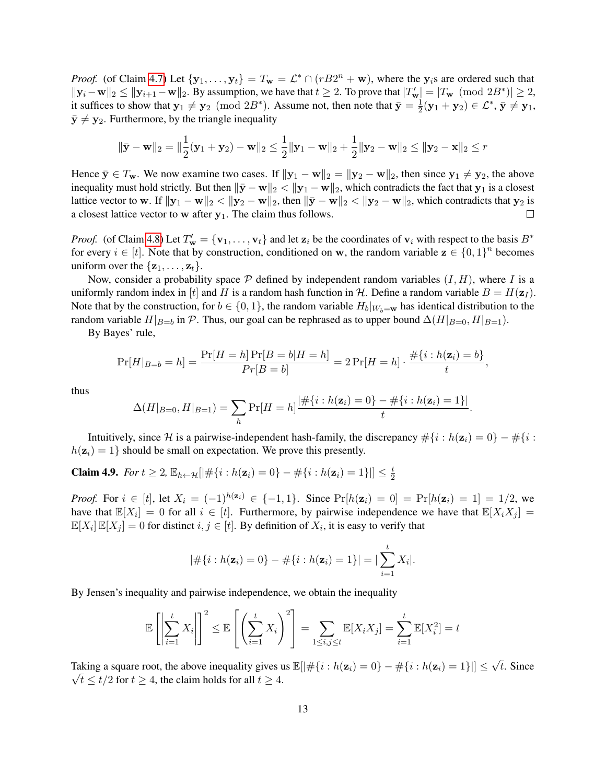*Proof.* (of Claim [4.7\)](#page-12-1) Let  $\{y_1, \ldots, y_t\} = T_w = \mathcal{L}^* \cap (rB2^n + w)$ , where the  $y_i$ s are ordered such that  $||\mathbf{y}_i - \mathbf{w}||_2 \le ||\mathbf{y}_{i+1} - \mathbf{w}||_2$ . By assumption, we have that  $t \ge 2$ . To prove that  $|T'_{\mathbf{w}}| = |T_{\mathbf{w}} \pmod{2B^*}| \ge 2$ , it suffices to show that  $y_1 \neq y_2 \pmod{2B^*}$ . Assume not, then note that  $\bar{y} = \frac{1}{2}$  $\frac{1}{2}(\mathbf{y}_1+\mathbf{y}_2) \in \mathcal{L}^*, \bar{\mathbf{y}} \neq \mathbf{y}_1,$  $\bar{y} \neq y_2$ . Furthermore, by the triangle inequality

$$
\|\bar{\mathbf{y}} - \mathbf{w}\|_2 = \|\frac{1}{2}(\mathbf{y}_1 + \mathbf{y}_2) - \mathbf{w}\|_2 \le \frac{1}{2} \|\mathbf{y}_1 - \mathbf{w}\|_2 + \frac{1}{2} \|\mathbf{y}_2 - \mathbf{w}\|_2 \le \|\mathbf{y}_2 - \mathbf{x}\|_2 \le r
$$

Hence  $\bar{y} \in T_w$ . We now examine two cases. If  $||y_1 - w||_2 = ||y_2 - w||_2$ , then since  $y_1 \neq y_2$ , the above inequality must hold strictly. But then  $\|\bar{\mathbf{y}} - \mathbf{w}\|_2 < \|\mathbf{y}_1 - \mathbf{w}\|_2$ , which contradicts the fact that  $\mathbf{y}_1$  is a closest lattice vector to w. If  $||y_1 - w||_2 < ||y_2 - w||_2$ , then  $||\bar{y} - w||_2 < ||y_2 - w||_2$ , which contradicts that  $y_2$  is a closest lattice vector to  $w$  after  $y_1$ . The claim thus follows.  $\Box$ 

*Proof.* (of Claim [4.8\)](#page-12-2) Let  $T'_{w} = \{v_1, \ldots, v_t\}$  and let  $z_i$  be the coordinates of  $v_i$  with respect to the basis  $B^*$ for every  $i \in [t]$ . Note that by construction, conditioned on w, the random variable  $\mathbf{z} \in \{0,1\}^n$  becomes uniform over the  $\{z_1, \ldots, z_t\}.$ 

Now, consider a probability space  $P$  defined by independent random variables  $(I, H)$ , where I is a uniformly random index in [t] and H is a random hash function in H. Define a random variable  $B = H(\mathbf{z}_I)$ . Note that by the construction, for  $b \in \{0, 1\}$ , the random variable  $H_b|_{W_b=\mathbf{w}}$  has identical distribution to the random variable  $H|_{B=0}$  in P. Thus, our goal can be rephrased as to upper bound  $\Delta(H|_{B=0}, H|_{B=1})$ .

By Bayes' rule,

$$
\Pr[H|_{B=b} = h] = \frac{\Pr[H = h] \Pr[B = b | H = h]}{\Pr[B = b]} = 2 \Pr[H = h] \cdot \frac{\#\{i : h(\mathbf{z}_i) = b\}}{t},
$$

thus

$$
\Delta(H|_{B=0}, H|_{B=1}) = \sum_{h} \Pr[H=h] \frac{|\# \{i : h(\mathbf{z}_i) = 0\} - \# \{i : h(\mathbf{z}_i) = 1\}|}{t}.
$$

Intuitively, since H is a pairwise-independent hash-family, the discrepancy  $\#\{i : h(\mathbf{z}_i) = 0\} - \#\{i :$  $h(\mathbf{z}_i) = 1$  should be small on expectation. We prove this presently.

**Claim 4.9.** *For*  $t \geq 2$ ,  $\mathbb{E}_{h \leftarrow H}[\#\{i : h(\mathbf{z}_i) = 0\} - \#\{i : h(\mathbf{z}_i) = 1\}] \leq \frac{t}{2}$ 2

*Proof.* For  $i \in [t]$ , let  $X_i = (-1)^{h(\mathbf{z}_i)} \in \{-1, 1\}$ . Since  $Pr[h(\mathbf{z}_i) = 0] = Pr[h(\mathbf{z}_i) = 1] = 1/2$ , we have that  $\mathbb{E}[X_i] = 0$  for all  $i \in [t]$ . Furthermore, by pairwise independence we have that  $\mathbb{E}[X_i X_j] =$  $\mathbb{E}[X_i] \mathbb{E}[X_j] = 0$  for distinct  $i, j \in [t]$ . By definition of  $X_i$ , it is easy to verify that

$$
|\#\{i : h(\mathbf{z}_i) = 0\} - \#\{i : h(\mathbf{z}_i) = 1\}| = |\sum_{i=1}^t X_i|.
$$

By Jensen's inequality and pairwise independence, we obtain the inequality

$$
\mathbb{E}\left[\left|\sum_{i=1}^t X_i\right|\right]^2 \le \mathbb{E}\left[\left(\sum_{i=1}^t X_i\right)^2\right] = \sum_{1 \le i,j \le t} \mathbb{E}[X_i X_j] = \sum_{i=1}^t \mathbb{E}[X_i^2] = t
$$

Taking a square root, the above inequality gives us  $\mathbb{E}[|\# \{i : h(\mathbf{z}_i) = 0\} - \# \{i : h(\mathbf{z}_i) = 1\}|] \leq \sqrt{\frac{1}{n}}$ Taking a square root, the above inequality gives us  $\mathbb{E}[|\# \{i : h(\mathbf{z}_i) = 0\} - \# \{i : h(\mathbf{z}_i) = 1\}|] \leq \sqrt{t}$ . Since  $\sqrt{t} \le t/2$  for  $t \ge 4$ , the claim holds for all  $t \ge 4$ .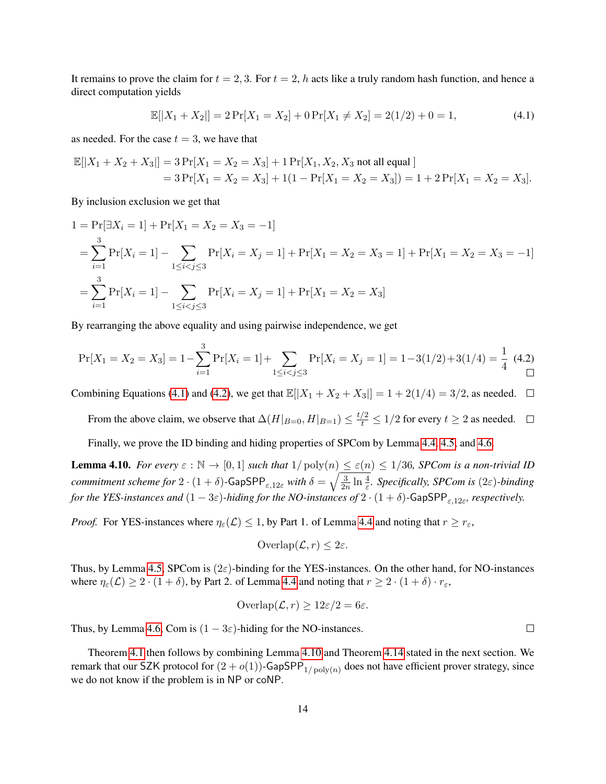It remains to prove the claim for  $t = 2, 3$ . For  $t = 2, h$  acts like a truly random hash function, and hence a direct computation yields

<span id="page-14-1"></span>
$$
\mathbb{E}[|X_1 + X_2|] = 2\Pr[X_1 = X_2] + 0\Pr[X_1 \neq X_2] = 2(1/2) + 0 = 1,
$$
\n(4.1)

as needed. For the case  $t = 3$ , we have that

$$
\mathbb{E}[|X_1 + X_2 + X_3|] = 3 \Pr[X_1 = X_2 = X_3] + 1 \Pr[X_1, X_2, X_3 \text{ not all equal}]
$$
  
= 3 \Pr[X\_1 = X\_2 = X\_3] + 1(1 - \Pr[X\_1 = X\_2 = X\_3]) = 1 + 2 \Pr[X\_1 = X\_2 = X\_3].

By inclusion exclusion we get that

$$
1 = \Pr[\exists X_i = 1] + \Pr[X_1 = X_2 = X_3 = -1]
$$
  
=  $\sum_{i=1}^{3} \Pr[X_i = 1] - \sum_{1 \le i < j \le 3} \Pr[X_i = X_j = 1] + \Pr[X_1 = X_2 = X_3 = 1] + \Pr[X_1 = X_2 = X_3 = -1]$   
=  $\sum_{i=1}^{3} \Pr[X_i = 1] - \sum_{1 \le i < j \le 3} \Pr[X_i = X_j = 1] + \Pr[X_1 = X_2 = X_3]$ 

By rearranging the above equality and using pairwise independence, we get

<span id="page-14-2"></span>
$$
\Pr[X_1 = X_2 = X_3] = 1 - \sum_{i=1}^{3} \Pr[X_i = 1] + \sum_{1 \le i < j \le 3} \Pr[X_i = X_j = 1] = 1 - 3(1/2) + 3(1/4) = \frac{1}{4} \tag{4.2}
$$

Combining Equations [\(4.1\)](#page-14-1) and [\(4.2\)](#page-14-2), we get that  $\mathbb{E}[|X_1 + X_2 + X_3|] = 1 + 2(1/4) = 3/2$ , as needed.  $\Box$ 

From the above claim, we observe that  $\Delta(H|_{B=0}, H|_{B=1}) \leq \frac{t/2}{t} \leq 1/2$  for every  $t \geq 2$  as needed.

Finally, we prove the ID binding and hiding properties of SPCom by Lemma [4.4,](#page-10-2) [4.5,](#page-11-2) and [4.6.](#page-12-0)

<span id="page-14-0"></span>**Lemma 4.10.** *For every*  $\varepsilon$  :  $\mathbb{N} \to [0, 1]$  *such that*  $1/\text{poly}(n) \leq \varepsilon(n) \leq 1/36$ *, SPCom is a non-trivial ID*  ${\it commitment}$  scheme for  $2\cdot (1+\delta)$ -GapSPP $_{\varepsilon,12\varepsilon}$  with  $\delta=\sqrt{\frac{3}{2\eta}}$  $\frac{3}{2n} \ln \frac{4}{\varepsilon}$ *. Specifically, SPCom is* (2 $\varepsilon$ )-binding *for the YES-instances and*  $(1-3\varepsilon)$ -hiding for the NO-instances of  $2\cdot(1+\delta)$ -GapSPP<sub> $\varepsilon,12\varepsilon$ </sub>, respectively.

*Proof.* For YES-instances where  $\eta_{\varepsilon}(\mathcal{L}) \leq 1$ , by Part 1. of Lemma [4.4](#page-10-2) and noting that  $r \geq r_{\varepsilon}$ ,

$$
Overlap(\mathcal{L}, r) \leq 2\varepsilon.
$$

Thus, by Lemma [4.5,](#page-11-2) SPCom is  $(2\varepsilon)$ -binding for the YES-instances. On the other hand, for NO-instances where  $\eta_{\varepsilon}(\mathcal{L}) \geq 2 \cdot (1 + \delta)$ , by Part 2. of Lemma [4.4](#page-10-2) and noting that  $r \geq 2 \cdot (1 + \delta) \cdot r_{\varepsilon}$ ,

$$
Overlap(\mathcal{L}, r) \ge 12\varepsilon/2 = 6\varepsilon.
$$

Thus, by Lemma [4.6,](#page-12-0) Com is  $(1 - 3\varepsilon)$ -hiding for the NO-instances.

Theorem [4.1](#page-9-1) then follows by combining Lemma [4.10](#page-14-0) and Theorem [4.14](#page-17-1) stated in the next section. We remark that our SZK protocol for  $(2 + o(1))$ -GapSPP<sub>1/poly(n)</sub> does not have efficient prover strategy, since we do not know if the problem is in NP or coNP.

 $\Box$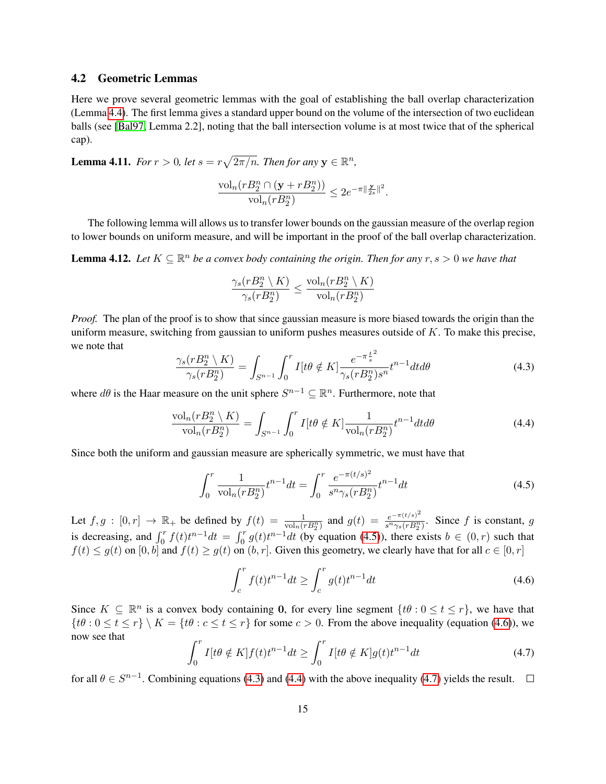#### <span id="page-15-0"></span>4.2 Geometric Lemmas

Here we prove several geometric lemmas with the goal of establishing the ball overlap characterization (Lemma [4.4\)](#page-10-2). The first lemma gives a standard upper bound on the volume of the intersection of two euclidean balls (see [\[Bal97,](#page-24-14) Lemma 2.2], noting that the ball intersection volume is at most twice that of the spherical cap).

<span id="page-15-6"></span>**Lemma 4.11.** For  $r > 0$ , let  $s = r\sqrt{2\pi/n}$ . Then for any  $y \in \mathbb{R}^n$ ,

$$
\frac{\text{vol}_n(rB_2^n\cap (\mathbf{y}+rB_2^n))}{\text{vol}_n(rB_2^n)}\leq 2e^{-\pi\|\frac{\mathbf{y}}{2s}\|^2}.
$$

The following lemma will allows us to transfer lower bounds on the gaussian measure of the overlap region to lower bounds on uniform measure, and will be important in the proof of the ball overlap characterization.

<span id="page-15-7"></span>**Lemma 4.12.** Let  $K \subseteq \mathbb{R}^n$  be a convex body containing the origin. Then for any  $r, s > 0$  we have that

$$
\frac{\gamma_s(rB_2^n\setminus K)}{\gamma_s(rB_2^n)}\leq \frac{\text{vol}_n(rB_2^n\setminus K)}{\text{vol}_n(rB_2^n)}
$$

*Proof.* The plan of the proof is to show that since gaussian measure is more biased towards the origin than the uniform measure, switching from gaussian to uniform pushes measures outside of  $K$ . To make this precise, we note that

<span id="page-15-3"></span>
$$
\frac{\gamma_s(rB_2^n \setminus K)}{\gamma_s(rB_2^n)} = \int_{S^{n-1}} \int_0^r I[t\theta \notin K] \frac{e^{-\pi \frac{t^2}{s}}}{\gamma_s(rB_2^n)s^n} t^{n-1} dt d\theta \tag{4.3}
$$

where  $d\theta$  is the Haar measure on the unit sphere  $S^{n-1} \subseteq \mathbb{R}^n$ . Furthermore, note that

<span id="page-15-4"></span>
$$
\frac{\text{vol}_n(rB_2^n \setminus K)}{\text{vol}_n(rB_2^n)} = \int_{S^{n-1}} \int_0^r I[t\theta \notin K] \frac{1}{\text{vol}_n(rB_2^n)} t^{n-1} dt d\theta \tag{4.4}
$$

Since both the uniform and gaussian measure are spherically symmetric, we must have that

<span id="page-15-1"></span>
$$
\int_0^r \frac{1}{\text{vol}_n(rB_2^n)} t^{n-1} dt = \int_0^r \frac{e^{-\pi(t/s)^2}}{s^n \gamma_s(rB_2^n)} t^{n-1} dt \tag{4.5}
$$

Let  $f, g : [0, r] \to \mathbb{R}_+$  be defined by  $f(t) = \frac{1}{\text{vol}_n(rB_2^n)}$  and  $g(t) = \frac{e^{-\pi(t/s)^2}}{s^n \gamma_s(rB_2^n)}$  $\frac{e^{-\pi(t/s)}}{s^n \gamma_s(rB_2^n)}$ . Since f is constant, g is decreasing, and  $\int_0^r f(t)t^{n-1}dt = \int_0^r g(t)t^{n-1}dt$  (by equation [\(4.5\)](#page-15-1)), there exists  $b \in (0, r)$  such that  $f(t) \leq g(t)$  on  $[0, b]$  and  $f(t) \geq g(t)$  on  $(b, r]$ . Given this geometry, we clearly have that for all  $c \in [0, r]$ 

<span id="page-15-2"></span>
$$
\int_{c}^{r} f(t)t^{n-1}dt \ge \int_{c}^{r} g(t)t^{n-1}dt
$$
\n(4.6)

Since  $K \subseteq \mathbb{R}^n$  is a convex body containing 0, for every line segment  $\{t\theta : 0 \le t \le r\}$ , we have that  $\{t\theta : 0 \le t \le r\} \setminus K = \{t\theta : c \le t \le r\}$  for some  $c > 0$ . From the above inequality (equation [\(4.6\)](#page-15-2)), we now see that

<span id="page-15-5"></span>
$$
\int_0^r I[t\theta \notin K] f(t)t^{n-1}dt \ge \int_0^r I[t\theta \notin K] g(t)t^{n-1}dt \tag{4.7}
$$

for all  $\theta \in S^{n-1}$ . Combining equations [\(4.3\)](#page-15-3) and [\(4.4\)](#page-15-4) with the above inequality [\(4.7\)](#page-15-5) yields the result.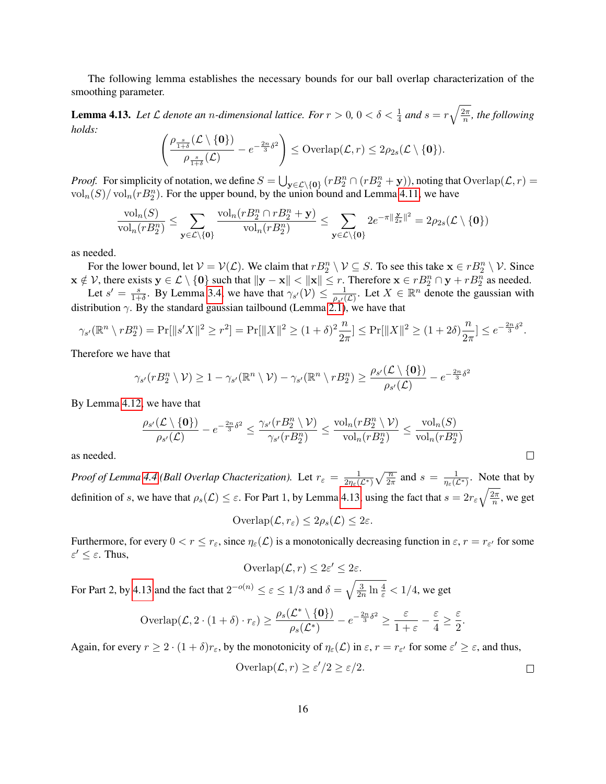The following lemma establishes the necessary bounds for our ball overlap characterization of the smoothing parameter.

<span id="page-16-0"></span>**Lemma 4.13.** Let  $\mathcal L$  denote an *n*-dimensional lattice. For  $r > 0$ ,  $0 < \delta < \frac{1}{4}$  and  $s = r\sqrt{\frac{2\pi}{n}}$  $\frac{2\pi}{n}$ *, the following holds:*

$$
\left(\frac{\rho_{\frac{s}{1+\delta}}(\mathcal{L}\setminus\{\mathbf{0}\})}{\rho_{\frac{s}{1+\delta}}(\mathcal{L})}-e^{-\frac{2n}{3}\delta^2}\right)\leq \text{Overlap}(\mathcal{L},r)\leq 2\rho_{2s}(\mathcal{L}\setminus\{\mathbf{0}\}).
$$

*Proof.* For simplicity of notation, we define  $S = \bigcup_{\mathbf{y} \in \mathcal{L} \setminus \{\mathbf{0}\}} (rB_2^n \cap (rB_2^n + \mathbf{y}))$ , noting that  $\text{Overall}(L, r) =$  $\text{vol}_n(S)/\text{vol}_n(rB_2^n)$ . For the upper bound, by the union bound and Lemma [4.11,](#page-15-6) we have

$$
\frac{\text{vol}_n(S)}{\text{vol}_n(rB_2^n)} \leq \sum_{\mathbf{y}\in \mathcal{L}\setminus\{\mathbf{0}\}} \frac{\text{vol}_n(rB_2^n\cap rB_2^n+\mathbf{y})}{\text{vol}_n(rB_2^n)} \leq \sum_{\mathbf{y}\in \mathcal{L}\setminus\{\mathbf{0}\}} 2e^{-\pi\|\frac{\mathbf{y}}{2s}\|^2} = 2\rho_{2s}(\mathcal{L}\setminus\{\mathbf{0}\})
$$

as needed.

For the lower bound, let  $V = V(\mathcal{L})$ . We claim that  $rB_2^n \setminus V \subseteq S$ . To see this take  $\mathbf{x} \in rB_2^n \setminus V$ . Since  $\mathbf{x} \notin \mathcal{V}$ , there exists  $\mathbf{y} \in \mathcal{L} \setminus \{\mathbf{0}\}\)$  such that  $\|\mathbf{y} - \mathbf{x}\| < \|\mathbf{x}\| \leq r$ . Therefore  $\mathbf{x} \in rB_2^n \cap \mathbf{y} + rB_2^n$  as needed.

Let  $s' = \frac{s}{1+s}$  $\frac{s}{1+\delta}$ . By Lemma [3.4,](#page-8-0) we have that  $\gamma_{s'}(\mathcal{V}) \leq \frac{1}{\rho_{s'}(\mathcal{V})}$  $\frac{1}{\rho_{s'}(\mathcal{L})}$ . Let  $X \in \mathbb{R}^n$  denote the gaussian with distribution  $\gamma$ . By the standard gaussian tailbound (Lemma [2.1\)](#page-6-1), we have that

$$
\gamma_{s'}(\mathbb{R}^n \setminus rB_2^n) = \Pr[\|s'X\|^2 \ge r^2] = \Pr[\|X\|^2 \ge (1+\delta)^2 \frac{n}{2\pi}] \le \Pr[\|X\|^2 \ge (1+2\delta) \frac{n}{2\pi}] \le e^{-\frac{2n}{3}\delta^2}.
$$

Therefore we have that

$$
\gamma_{s'}(rB_2^n \setminus \mathcal{V}) \ge 1 - \gamma_{s'}(\mathbb{R}^n \setminus \mathcal{V}) - \gamma_{s'}(\mathbb{R}^n \setminus rB_2^n) \ge \frac{\rho_{s'}(\mathcal{L} \setminus \{\mathbf{0}\})}{\rho_{s'}(\mathcal{L})} - e^{-\frac{2n}{3}\delta^2}
$$

By Lemma [4.12,](#page-15-7) we have that

$$
\frac{\rho_{s'}(\mathcal{L}\setminus\{\mathbf{0}\})}{\rho_{s'}(\mathcal{L})}-e^{-\frac{2n}{3}\delta^2}\leq \frac{\gamma_{s'}(rB_2^n\setminus \mathcal{V})}{\gamma_{s'}(rB_2^n)}\leq \frac{\text{vol}_n(rB_2^n\setminus \mathcal{V})}{\text{vol}_n(rB_2^n)}\leq \frac{\text{vol}_n(S)}{\text{vol}_n(rB_2^n)}
$$

as needed.

*Proof of Lemma [4.4](#page-10-2) (Ball Overlap Chacterization).* Let  $r_{\varepsilon} = \frac{1}{2\eta_{\varepsilon}(\mathcal{L}^*)}\sqrt{\frac{n}{2\pi}}$  and  $s = \frac{1}{\eta_{\varepsilon}(\mathcal{L}^*)}$ . Note that by definition of s, we have that  $\rho_s(\mathcal{L}) \leq \varepsilon$ . For Part 1, by Lemma [4.13,](#page-16-0) using the fact that  $s = 2r_{\varepsilon} \sqrt{\frac{2\pi}{n}}$  $\frac{2\pi}{n}$ , we get

$$
\operatorname{Overlap}(\mathcal{L}, r_{\varepsilon}) \le 2\rho_s(\mathcal{L}) \le 2\varepsilon.
$$

Furthermore, for every  $0 < r \le r_\varepsilon$ , since  $\eta_\varepsilon(\mathcal{L})$  is a monotonically decreasing function in  $\varepsilon$ ,  $r = r_{\varepsilon'}$  for some  $\varepsilon' \leq \varepsilon$ . Thus,

$$
0 \text{verlap}(\mathcal{L}, r) \le 2\varepsilon' \le 2\varepsilon.
$$

For Part 2, by [4.13](#page-16-0) and the fact that  $2^{-o(n)} \leq \varepsilon \leq 1/3$  and  $\delta = \sqrt{\frac{3}{2n}}$  $\frac{3}{2n}\ln\frac{4}{\varepsilon} < 1/4$ , we get

$$
\text{Overlap}(\mathcal{L}, 2 \cdot (1+\delta) \cdot r_{\varepsilon}) \ge \frac{\rho_s(\mathcal{L}^* \setminus \{0\})}{\rho_s(\mathcal{L}^*)} - e^{-\frac{2n}{3}\delta^2} \ge \frac{\varepsilon}{1+\varepsilon} - \frac{\varepsilon}{4} \ge \frac{\varepsilon}{2}.
$$

Again, for every  $r \ge 2 \cdot (1+\delta)r_{\varepsilon}$ , by the monotonicity of  $\eta_{\varepsilon}(\mathcal{L})$  in  $\varepsilon$ ,  $r = r_{\varepsilon'}$  for some  $\varepsilon' \ge \varepsilon$ , and thus,

$$
Overlap(\mathcal{L}, r) \ge \varepsilon'/2 \ge \varepsilon/2.
$$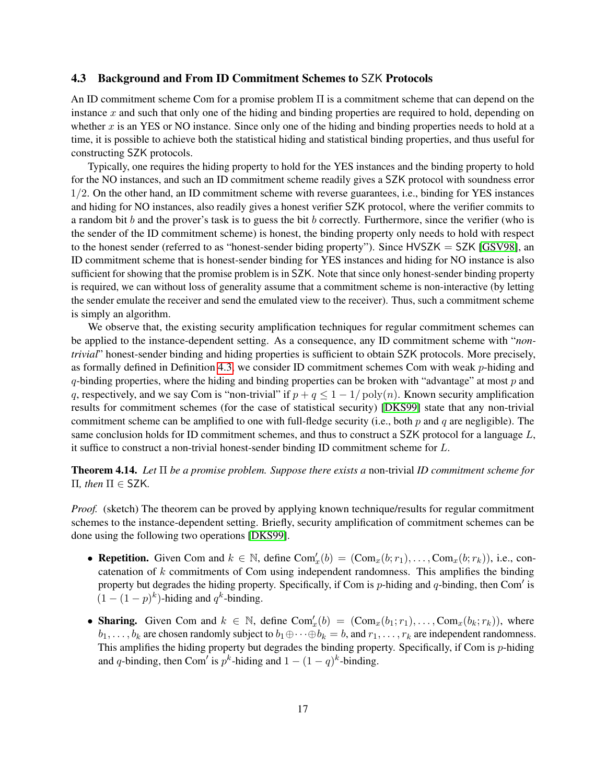#### <span id="page-17-0"></span>4.3 Background and From ID Commitment Schemes to SZK Protocols

An ID commitment scheme Com for a promise problem Π is a commitment scheme that can depend on the instance  $x$  and such that only one of the hiding and binding properties are required to hold, depending on whether  $x$  is an YES or NO instance. Since only one of the hiding and binding properties needs to hold at a time, it is possible to achieve both the statistical hiding and statistical binding properties, and thus useful for constructing SZK protocols.

Typically, one requires the hiding property to hold for the YES instances and the binding property to hold for the NO instances, and such an ID commitment scheme readily gives a SZK protocol with soundness error 1/2. On the other hand, an ID commitment scheme with reverse guarantees, i.e., binding for YES instances and hiding for NO instances, also readily gives a honest verifier SZK protocol, where the verifier commits to a random bit b and the prover's task is to guess the bit b correctly. Furthermore, since the verifier (who is the sender of the ID commitment scheme) is honest, the binding property only needs to hold with respect to the honest sender (referred to as "honest-sender biding property"). Since HVSZK = SZK [\[GSV98\]](#page-25-15), an ID commitment scheme that is honest-sender binding for YES instances and hiding for NO instance is also sufficient for showing that the promise problem is in SZK. Note that since only honest-sender binding property is required, we can without loss of generality assume that a commitment scheme is non-interactive (by letting the sender emulate the receiver and send the emulated view to the receiver). Thus, such a commitment scheme is simply an algorithm.

We observe that, the existing security amplification techniques for regular commitment schemes can be applied to the instance-dependent setting. As a consequence, any ID commitment scheme with "*nontrivial*" honest-sender binding and hiding properties is sufficient to obtain SZK protocols. More precisely, as formally defined in Definition [4.3,](#page-9-2) we consider ID commitment schemes Com with weak  $p$ -hiding and  $q$ -binding properties, where the hiding and binding properties can be broken with "advantage" at most  $p$  and q, respectively, and we say Com is "non-trivial" if  $p + q \le 1 - 1/\text{poly}(n)$ . Known security amplification results for commitment schemes (for the case of statistical security) [\[DKS99\]](#page-24-15) state that any non-trivial commitment scheme can be amplified to one with full-fledge security (i.e., both  $p$  and  $q$  are negligible). The same conclusion holds for ID commitment schemes, and thus to construct a SZK protocol for a language L, it suffice to construct a non-trivial honest-sender binding ID commitment scheme for L.

<span id="page-17-1"></span>Theorem 4.14. *Let* Π *be a promise problem. Suppose there exists a* non-trivial *ID commitment scheme for* Π*, then* Π ∈ SZK*.*

*Proof.* (sketch) The theorem can be proved by applying known technique/results for regular commitment schemes to the instance-dependent setting. Briefly, security amplification of commitment schemes can be done using the following two operations [\[DKS99\]](#page-24-15).

- Repetition. Given Com and  $k \in \mathbb{N}$ , define  $Com'_x(b) = (Com_x(b; r_1), \ldots, Com_x(b; r_k)),$  i.e., concatenation of  $k$  commitments of Com using independent randomness. This amplifies the binding property but degrades the hiding property. Specifically, if Com is  $p$ -hiding and  $q$ -binding, then Com' is  $(1 - (1 - p)^k)$ -hiding and  $q^k$ -binding.
- Sharing. Given Com and  $k \in \mathbb{N}$ , define  $Com'_x(b) = (Com_x(b_1; r_1), \ldots, Com_x(b_k; r_k))$ , where  $b_1, \ldots, b_k$  are chosen randomly subject to  $b_1 \oplus \cdots \oplus b_k = b$ , and  $r_1, \ldots, r_k$  are independent randomness. This amplifies the hiding property but degrades the binding property. Specifically, if Com is p-hiding and q-binding, then Com' is  $p^k$ -hiding and  $1 - (1 - q)^k$ -binding.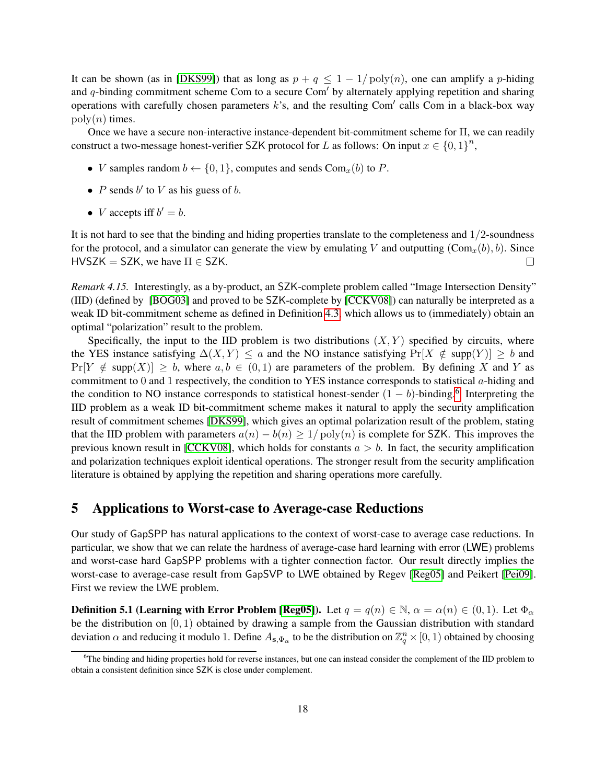It can be shown (as in [\[DKS99\]](#page-24-15)) that as long as  $p + q \leq 1 - 1/poly(n)$ , one can amplify a p-hiding and  $q$ -binding commitment scheme Com to a secure Com' by alternately applying repetition and sharing operations with carefully chosen parameters  $k$ 's, and the resulting Com' calls Com in a black-box way  $poly(n)$  times.

Once we have a secure non-interactive instance-dependent bit-commitment scheme for Π, we can readily construct a two-message honest-verifier SZK protocol for L as follows: On input  $x \in \{0,1\}^n$ ,

- *V* samples random  $b \leftarrow \{0, 1\}$ , computes and sends Com<sub>x</sub>(b) to *P*.
- P sends  $b'$  to V as his guess of b.
- *V* accepts iff  $b' = b$ .

It is not hard to see that the binding and hiding properties translate to the completeness and 1/2-soundness for the protocol, and a simulator can generate the view by emulating V and outputting  $(\text{Com}_r(b), b)$ . Since HVSZK = SZK, we have  $\Pi \in$  SZK.  $\Box$ 

*Remark 4.15.* Interestingly, as a by-product, an SZK-complete problem called "Image Intersection Density" (IID) (defined by [\[BOG03\]](#page-24-16) and proved to be SZK-complete by [\[CCKV08\]](#page-24-17)) can naturally be interpreted as a weak ID bit-commitment scheme as defined in Definition [4.3,](#page-9-2) which allows us to (immediately) obtain an optimal "polarization" result to the problem.

Specifically, the input to the IID problem is two distributions  $(X, Y)$  specified by circuits, where the YES instance satisfying  $\Delta(X, Y) \le a$  and the NO instance satisfying  $Pr[X \notin supp(Y)] \ge b$  and  $Pr[Y \notin supp(X)] \ge b$ , where  $a, b \in (0, 1)$  are parameters of the problem. By defining X and Y as commitment to 0 and 1 respectively, the condition to YES instance corresponds to statistical a-hiding and the condition to NO instance corresponds to statistical honest-sender  $(1 - b)$ -binding.<sup>[6](#page-18-1)</sup> Interpreting the IID problem as a weak ID bit-commitment scheme makes it natural to apply the security amplification result of commitment schemes [\[DKS99\]](#page-24-15), which gives an optimal polarization result of the problem, stating that the IID problem with parameters  $a(n) - b(n) \ge 1/\text{poly}(n)$  is complete for SZK. This improves the previous known result in [\[CCKV08\]](#page-24-17), which holds for constants  $a > b$ . In fact, the security amplification and polarization techniques exploit identical operations. The stronger result from the security amplification literature is obtained by applying the repetition and sharing operations more carefully.

## <span id="page-18-0"></span>5 Applications to Worst-case to Average-case Reductions

Our study of GapSPP has natural applications to the context of worst-case to average case reductions. In particular, we show that we can relate the hardness of average-case hard learning with error (LWE) problems and worst-case hard GapSPP problems with a tighter connection factor. Our result directly implies the worst-case to average-case result from GapSVP to LWE obtained by Regev [\[Reg05\]](#page-25-3) and Peikert [\[Pei09\]](#page-25-11). First we review the LWE problem.

**Definition 5.1 (Learning with Error Problem [\[Reg05\]](#page-25-3)).** Let  $q = q(n) \in \mathbb{N}$ ,  $\alpha = \alpha(n) \in (0,1)$ . Let  $\Phi_{\alpha}$ be the distribution on  $[0, 1)$  obtained by drawing a sample from the Gaussian distribution with standard deviation  $\alpha$  and reducing it modulo 1. Define  $A_{s,\Phi_\alpha}$  to be the distribution on  $\mathbb{Z}_q^n\times[0,1)$  obtained by choosing

<span id="page-18-1"></span><sup>6</sup>The binding and hiding properties hold for reverse instances, but one can instead consider the complement of the IID problem to obtain a consistent definition since SZK is close under complement.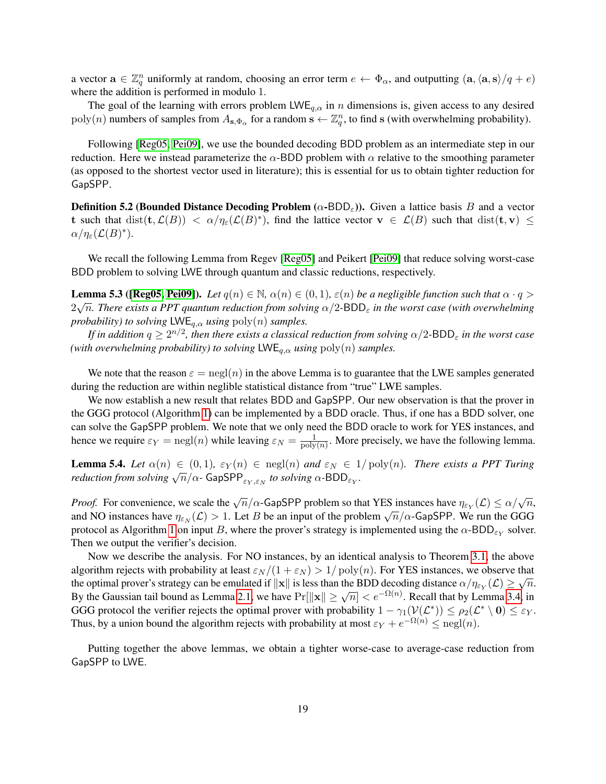a vector  $\mathbf{a} \in \mathbb{Z}_q^n$  uniformly at random, choosing an error term  $e \leftarrow \Phi_\alpha$ , and outputting  $(\mathbf{a}, \langle \mathbf{a}, \mathbf{s} \rangle / q + e)$ where the addition is performed in modulo 1.

The goal of the learning with errors problem LWE<sub>q, $\alpha$ </sub> in n dimensions is, given access to any desired  $poly(n)$  numbers of samples from  $A_{s, \Phi_{\alpha}}$  for a random  $s \leftarrow \mathbb{Z}_q^n$ , to find s (with overwhelming probability).

Following [\[Reg05,](#page-25-3) [Pei09\]](#page-25-11), we use the bounded decoding BDD problem as an intermediate step in our reduction. Here we instead parameterize the  $\alpha$ -BDD problem with  $\alpha$  relative to the smoothing parameter (as opposed to the shortest vector used in literature); this is essential for us to obtain tighter reduction for GapSPP.

**Definition 5.2 (Bounded Distance Decoding Problem (** $\alpha$ **-BDD<sub>** $\epsilon$ **</sub>)). Given a lattice basis B and a vector** t such that  $dist(t, \mathcal{L}(B)) < \alpha/\eta_{\varepsilon}(\mathcal{L}(B)^*)$ , find the lattice vector  $v \in \mathcal{L}(B)$  such that  $dist(t, v) \le$  $\alpha/\eta_{\varepsilon}(\mathcal{L}(B)^{*}).$ 

We recall the following Lemma from Regev [\[Reg05\]](#page-25-3) and Peikert [\[Pei09\]](#page-25-11) that reduce solving worst-case BDD problem to solving LWE through quantum and classic reductions, respectively.

**Lemma 5.3 ([\[Reg05,](#page-25-3) [Pei09\]](#page-25-11)).** *Let*  $q(n) \in \mathbb{N}$ ,  $\alpha(n) \in (0, 1)$ ,  $\varepsilon(n)$  *be a negligible function such that*  $\alpha \cdot q >$  $2\sqrt{n}$ . There exists a PPT quantum reduction from solving  $\alpha/2$ -BDD<sub> $\varepsilon$ </sub> in the worst case (with overwhelming *probability) to solving* LWE<sub>q, $\alpha$ </sub> *using*  $\text{poly}(n)$  *samples.* 

If in addition  $q\geq 2^{n/2}$ , then there exists a classical reduction from solving  $\alpha/2\text{-BDD}_\varepsilon$  in the worst case *(with overwhelming probability) to solving* LWE<sub>q, $\alpha$ </sub> *using* poly $(n)$  *samples.* 

We note that the reason  $\varepsilon = \text{negl}(n)$  in the above Lemma is to guarantee that the LWE samples generated during the reduction are within neglible statistical distance from "true" LWE samples.

We now establish a new result that relates BDD and GapSPP. Our new observation is that the prover in the GGG protocol (Algorithm [1\)](#page-7-3) can be implemented by a BDD oracle. Thus, if one has a BDD solver, one can solve the GapSPP problem. We note that we only need the BDD oracle to work for YES instances, and hence we require  $\varepsilon_Y = \text{negl}(n)$  while leaving  $\varepsilon_N = \frac{1}{\text{poly}}$  $\frac{1}{\text{poly}(n)}$ . More precisely, we have the following lemma.

**Lemma 5.4.** *Let*  $\alpha(n) \in (0,1)$ *,*  $\varepsilon_Y(n) \in \text{negl}(n)$  *and*  $\varepsilon_N \in 1/\text{poly}(n)$ *. There exists a PPT Turing reduction from solving*  $\sqrt{n}/\alpha$ - GapSPP<sub> $\varepsilon_Y$ , $\varepsilon_N$  *to solving*  $\alpha$ -BDD<sub> $\varepsilon_Y$ </sub>.</sub>

*Proof.* For convenience, we scale the  $\sqrt{n}/\alpha$ -GapSPP problem so that YES instances have  $\eta_{\varepsilon_Y}(\mathcal{L}) \le \alpha/\sqrt{n}$ , *Froof.* For convenience, we see the  $\sqrt{n}/\alpha$ -staps F problem so that TES instances have  $\eta_{\varepsilon_Y}(L) \le \alpha/\sqrt{n}$ , and NO instances have  $\eta_{\varepsilon_N}(L) > 1$ . Let B be an input of the problem  $\sqrt{n}/\alpha$ -GapSPP. We run the GGG protocol as Algorithm [1](#page-7-3) on input B, where the prover's strategy is implemented using the  $\alpha$ -BDD<sub> $\epsilon_Y$ </sub> solver. Then we output the verifier's decision.

Now we describe the analysis. For NO instances, by an identical analysis to Theorem [3.1,](#page-7-2) the above algorithm rejects with probability at least  $\varepsilon_N/(1 + \varepsilon_N) > 1/\text{poly}(n)$ . For YES instances, we observe that the optimal prover's strategy can be emulated if  $\|\mathbf{x}\|$  is less than the BDD decoding distance  $\alpha/\eta_{\varepsilon_Y}(\mathcal{L}) \geq \sqrt{n}$ . By the Gaussian tail bound as Lemma [2.1,](#page-6-1) we have  $Pr[\Vert x \Vert] \ge \sqrt{n}] < e^{-\Omega(n)}$ . Recall that by Lemma [3.4,](#page-8-0) in GGG protocol the verifier rejects the optimal prover with probability  $1 - \gamma_1(\mathcal{V}(\mathcal{L}^*)) \le \rho_2(\mathcal{L}^* \setminus 0) \le \varepsilon_Y$ . Thus, by a union bound the algorithm rejects with probability at most  $\varepsilon_Y + e^{-\Omega(n)} \le \text{negl}(n)$ .

<span id="page-19-0"></span>Putting together the above lemmas, we obtain a tighter worse-case to average-case reduction from GapSPP to LWE.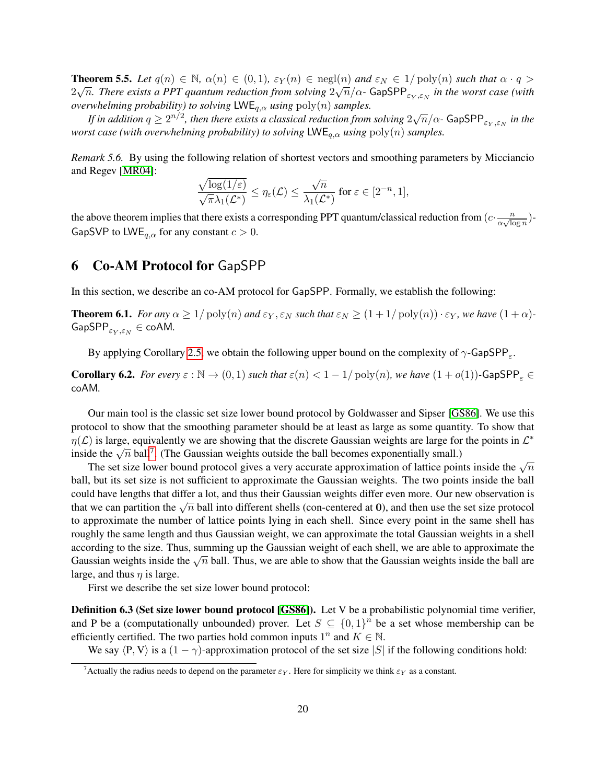**Theorem 5.5.** *Let*  $q(n) \in \mathbb{N}$ ,  $\alpha(n) \in (0, 1)$ ,  $\varepsilon_Y(n) \in \text{negl}(n)$  *and*  $\varepsilon_N \in 1/\text{poly}(n)$  *such that*  $\alpha \cdot q > \alpha$  $2\sqrt{n}$ . There exists a PPT quantum reduction from solving  $2\sqrt{n}/\alpha$ - GapSPP  $_{\varepsilon_Y,\varepsilon_N}$  in the worst case (with *overwhelming probability) to solving*  $LWE_{a,\alpha}$  *using*  $poly(n)$  *samples.* 

*If in addition*  $q \ge 2^{n/2}$ , then there exists a classical reduction from solving  $2\sqrt{n}/\alpha$ - GapSPP<sub> $\varepsilon_Y, \varepsilon_N$ </sub> in the *worst case (with overwhelming probability) to solving*  $LWE_{q,\alpha}$  *using*  $poly(n)$  *samples.* 

*Remark 5.6.* By using the following relation of shortest vectors and smoothing parameters by Micciancio and Regev [\[MR04\]](#page-25-2): √

$$
\frac{\sqrt{\log(1/\varepsilon)}}{\sqrt{\pi}\lambda_1(\mathcal{L}^*)}\leq \eta_\varepsilon(\mathcal{L})\leq \frac{\sqrt{n}}{\lambda_1(\mathcal{L}^*)}\text{ for }\varepsilon\in [2^{-n},1],
$$

the above theorem implies that there exists a corresponding PPT quantum/classical reduction from  $\left(c\frac{n}{c}\right)$  $\frac{n}{\alpha\sqrt{\log n}}$ )-GapSVP to  $LWE_{q,\alpha}$  for any constant  $c > 0$ .

# <span id="page-20-0"></span>6 Co-AM Protocol for GapSPP

<span id="page-20-1"></span>In this section, we describe an co-AM protocol for GapSPP. Formally, we establish the following:

**Theorem 6.1.** *For any*  $\alpha \geq 1/\text{poly}(n)$  *and*  $\epsilon_Y$ ,  $\epsilon_N$  *such that*  $\epsilon_N \geq (1 + 1/\text{poly}(n)) \cdot \epsilon_Y$ *, we have*  $(1 + \alpha)$ *-* $\mathsf{GapSPP}_{\varepsilon_Y,\varepsilon_N}\in\mathsf{coAM}.$ 

By applying Corollary [2.5,](#page-7-0) we obtain the following upper bound on the complexity of  $\gamma$ -GapSPP<sub> $\varepsilon$ </sub>.

**Corollary 6.2.** *For every*  $\varepsilon$  :  $\mathbb{N} \to (0, 1)$  *such that*  $\varepsilon(n) < 1 - 1/\text{poly}(n)$ *, we have*  $(1 + o(1))$ -GapSPP<sub> $\varepsilon$ </sub>  $\in$ coAM*.*

Our main tool is the classic set size lower bound protocol by Goldwasser and Sipser [\[GS86\]](#page-25-8). We use this protocol to show that the smoothing parameter should be at least as large as some quantity. To show that  $\eta(\mathcal{L})$  is large, equivalently we are showing that the discrete Gaussian weights are large for the points in  $\mathcal{L}^*$  $\eta(z)$  is targe, equivalently we are showing that the discrete Gaussian weights are large for inside the  $\sqrt{n}$  ball<sup>[7](#page-20-2)</sup>. (The Gaussian weights outside the ball becomes exponentially small.)

The set size lower bound protocol gives a very accurate approximation of lattice points inside the  $\sqrt{n}$ ball, but its set size is not sufficient to approximate the Gaussian weights. The two points inside the ball could have lengths that differ a lot, and thus their Gaussian weights differ even more. Our new observation is that we can partition the  $\sqrt{n}$  ball into different shells (con-centered at 0), and then use the set size protocol to approximate the number of lattice points lying in each shell. Since every point in the same shell has roughly the same length and thus Gaussian weight, we can approximate the total Gaussian weights in a shell according to the size. Thus, summing up the Gaussian weight of each shell, we are able to approximate the  $\alpha$  Gaussian weights inside the  $\sqrt{n}$  ball. Thus, we are able to show that the Gaussian weights inside the ball are large, and thus  $\eta$  is large.

First we describe the set size lower bound protocol:

Definition 6.3 (Set size lower bound protocol [\[GS86\]](#page-25-8)). Let V be a probabilistic polynomial time verifier, and P be a (computationally unbounded) prover. Let  $S \subseteq \{0,1\}^n$  be a set whose membership can be efficiently certified. The two parties hold common inputs  $1^n$  and  $K \in \mathbb{N}$ .

We say  $\langle P, V \rangle$  is a  $(1 - \gamma)$ -approximation protocol of the set size  $|S|$  if the following conditions hold:

<span id="page-20-2"></span><sup>&</sup>lt;sup>7</sup>Actually the radius needs to depend on the parameter  $\varepsilon_Y$ . Here for simplicity we think  $\varepsilon_Y$  as a constant.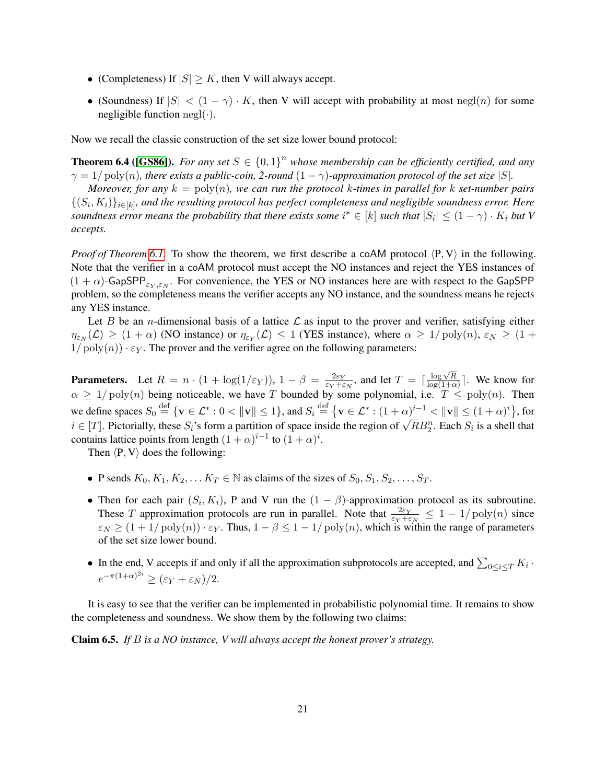- (Completeness) If  $|S| \ge K$ , then V will always accept.
- (Soundness) If  $|S| < (1 \gamma) \cdot K$ , then V will accept with probability at most negl(n) for some negligible function  $negl(\cdot)$ .

Now we recall the classic construction of the set size lower bound protocol:

**Theorem 6.4 ([\[GS86\]](#page-25-8)).** For any set  $S \in \{0,1\}^n$  whose membership can be efficiently certified, and any  $\gamma = 1/\text{poly}(n)$ , there exists a public-coin, 2-round  $(1 - \gamma)$ -approximation protocol of the set size |S|.

*Moreover, for any*  $k = \text{poly}(n)$ *, we can run the protocol k-times in parallel for k set-number pairs*  $\{(S_i, K_i)\}_{i \in [k]}$ , and the resulting protocol has perfect completeness and negligible soundness error. Here *soundness error means the probability that there exists some*  $i^* \in [k]$  *such that*  $|S_i| \leq (1 - \gamma) \cdot K_i$  *but* V *accepts.*

*Proof of Theorem [6.1.](#page-20-1)* To show the theorem, we first describe a coAM protocol  $\langle P, V \rangle$  in the following. Note that the verifier in a coAM protocol must accept the NO instances and reject the YES instances of  $(1 + \alpha)$ -GapSPP<sub> $\varepsilon_Y, \varepsilon_N$ </sub>. For convenience, the YES or NO instances here are with respect to the GapSPP problem, so the completeness means the verifier accepts any NO instance, and the soundness means he rejects any YES instance.

Let B be an *n*-dimensional basis of a lattice  $\mathcal L$  as input to the prover and verifier, satisfying either  $\eta_{\varepsilon_N}(\mathcal{L}) \geq (1+\alpha)$  (NO instance) or  $\eta_{\varepsilon_Y}(\mathcal{L}) \leq 1$  (YES instance), where  $\alpha \geq 1/\text{poly}(n)$ ,  $\varepsilon_N \geq (1+\alpha)$  $1/\text{poly}(n)$ ) ·  $\varepsilon_Y$ . The prover and the verifier agree on the following parameters:

**Parameters.** Let  $R = n \cdot (1 + \log(1/\varepsilon_Y)), 1 - \beta = \frac{2\varepsilon_Y}{\varepsilon_Y + \varepsilon_Y}$  $\frac{2\varepsilon_Y}{\varepsilon_Y + \varepsilon_N}$ , and let  $T = \lceil \frac{\log \sqrt{R}}{\log(1 + \alpha)} \rceil$  $\frac{\log \sqrt{R}}{\log(1+\alpha)}$ . We know for  $\alpha \geq 1/\text{poly}(n)$  being noticeable, we have T bounded by some polynomial, i.e.  $T \leq \text{poly}(n)$ . Then we define spaces  $S_0 \stackrel{\text{def}}{=} \{ \mathbf{v} \in \mathcal{L}^* : 0 < ||\mathbf{v}|| \le 1 \}$ , and  $S_i \stackrel{\text{def}}{=} \{ \mathbf{v} \in \mathcal{L}^* : (1 + \alpha)^{i-1} < ||\mathbf{v}|| \le (1 + \alpha)^i \}$ , for we define spaces  $S_0 - \{v \in \mathcal{L} : 0 \le ||v|| \le 1\}$ , and  $S_i - \{v \in \mathcal{L} : (1 + \alpha) \le ||v|| \le (1 + \alpha)\}$ , for  $i \in [T]$ . Pictorially, these  $S_i$ 's form a partition of space inside the region of  $\sqrt{R}B_2^n$ . Each  $S_i$  is a shell that contains lattice points from length  $(1 + \alpha)^{i-1}$  to  $(1 + \alpha)^i$ .

Then  $\langle P, V \rangle$  does the following:

- P sends  $K_0, K_1, K_2, \ldots K_T \in \mathbb{N}$  as claims of the sizes of  $S_0, S_1, S_2, \ldots, S_T$ .
- Then for each pair  $(S_i, K_i)$ , P and V run the  $(1 \beta)$ -approximation protocol as its subroutine. These T approximation protocols are run in parallel. Note that  $\frac{2\varepsilon_Y}{\varepsilon_Y + \varepsilon_N} \leq 1 - 1/\text{poly}(n)$  since  $\varepsilon_N \geq (1 + 1/\text{poly}(n)) \cdot \varepsilon_Y$ . Thus,  $1 - \beta \leq 1 - 1/\text{poly}(n)$ , which is within the range of parameters of the set size lower bound.
- In the end, V accepts if and only if all the approximation subprotocols are accepted, and  $\sum_{0 \le i \le T} K_i$ .  $e^{-\pi(1+\alpha)^{2i}} \geq (\varepsilon_Y + \varepsilon_N)/2.$

It is easy to see that the verifier can be implemented in probabilistic polynomial time. It remains to show the completeness and soundness. We show them by the following two claims:

Claim 6.5. *If* B *is a NO instance, V will always accept the honest prover's strategy.*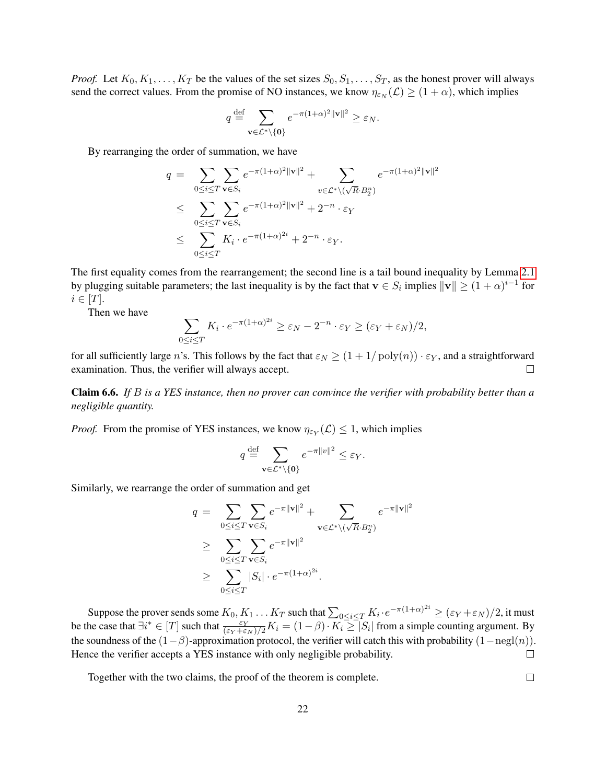*Proof.* Let  $K_0, K_1, \ldots, K_T$  be the values of the set sizes  $S_0, S_1, \ldots, S_T$ , as the honest prover will always send the correct values. From the promise of NO instances, we know  $\eta_{\varepsilon_N}(\mathcal{L}) \geq (1+\alpha)$ , which implies

$$
q \stackrel{\text{def}}{=} \sum_{\mathbf{v} \in \mathcal{L}^* \setminus \{\mathbf{0}\}} e^{-\pi (1+\alpha)^2 \|\mathbf{v}\|^2} \ge \varepsilon_N.
$$

By rearranging the order of summation, we have

$$
q = \sum_{0 \le i \le T} \sum_{\mathbf{v} \in S_i} e^{-\pi (1+\alpha)^2 \|\mathbf{v}\|^2} + \sum_{v \in \mathcal{L}^* \setminus (\sqrt{R} \cdot B_2^n)} e^{-\pi (1+\alpha)^2 \|\mathbf{v}\|^2}
$$
  
\n
$$
\le \sum_{0 \le i \le T} \sum_{\mathbf{v} \in S_i} e^{-\pi (1+\alpha)^2 \|\mathbf{v}\|^2} + 2^{-n} \cdot \varepsilon_Y
$$
  
\n
$$
\le \sum_{0 \le i \le T} K_i \cdot e^{-\pi (1+\alpha)^{2i}} + 2^{-n} \cdot \varepsilon_Y.
$$

The first equality comes from the rearrangement; the second line is a tail bound inequality by Lemma [2.1](#page-6-1) by plugging suitable parameters; the last inequality is by the fact that  $v \in S_i$  implies  $\|v\| \ge (1 + \alpha)^{i-1}$  for  $i \in [T]$ .

Then we have

$$
\sum_{0 \le i \le T} K_i \cdot e^{-\pi (1+\alpha)^{2i}} \ge \varepsilon_N - 2^{-n} \cdot \varepsilon_Y \ge (\varepsilon_Y + \varepsilon_N)/2,
$$

for all sufficiently large n's. This follows by the fact that  $\varepsilon_N \geq (1 + 1/\text{poly}(n)) \cdot \varepsilon_Y$ , and a straightforward examination. Thus, the verifier will always accept.  $\Box$ 

Claim 6.6. *If* B *is a YES instance, then no prover can convince the verifier with probability better than a negligible quantity.*

*Proof.* From the promise of YES instances, we know  $\eta_{\varepsilon_Y}(\mathcal{L}) \leq 1$ , which implies

$$
q \stackrel{\text{def}}{=} \sum_{\mathbf{v} \in \mathcal{L}^* \setminus \{\mathbf{0}\}} e^{-\pi ||v||^2} \le \varepsilon_Y.
$$

Similarly, we rearrange the order of summation and get

$$
q = \sum_{0 \le i \le T} \sum_{\mathbf{v} \in S_i} e^{-\pi \|\mathbf{v}\|^2} + \sum_{\mathbf{v} \in \mathcal{L}^* \setminus (\sqrt{R} \cdot B_2^n)} e^{-\pi \|\mathbf{v}\|^2}
$$
  
\n
$$
\ge \sum_{0 \le i \le T} \sum_{\mathbf{v} \in S_i} e^{-\pi \|\mathbf{v}\|^2}
$$
  
\n
$$
\ge \sum_{0 \le i \le T} |S_i| \cdot e^{-\pi (1+\alpha)^{2i}}.
$$

Suppose the prover sends some  $K_0, K_1 \ldots K_T$  such that  $\sum_{0 \leq i \leq T} K_i \cdot e^{-\pi (1+\alpha)^{2i}} \geq (\varepsilon_Y + \varepsilon_N)/2,$  it must be the case that  $\exists i^* \in [T]$  such that  $\frac{\varepsilon_Y}{(\varepsilon_Y + \varepsilon_N)/2} K_i = (1 - \beta) \cdot K_i \geq |\varepsilon_j|$  from a simple counting argument. By the soundness of the  $(1-\beta)$ -approximation protocol, the verifier will catch this with probability  $(1-negl(n))$ . Hence the verifier accepts a YES instance with only negligible probability.  $\Box$ 

Together with the two claims, the proof of the theorem is complete.

 $\Box$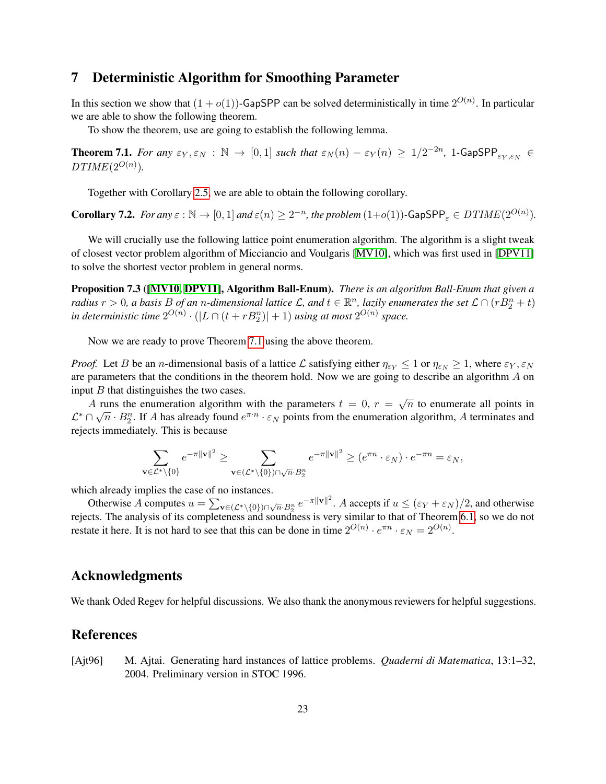# 7 Deterministic Algorithm for Smoothing Parameter

In this section we show that  $(1 + o(1))$ -GapSPP can be solved deterministically in time  $2^{O(n)}$ . In particular we are able to show the following theorem.

To show the theorem, use are going to establish the following lemma.

<span id="page-23-2"></span>**Theorem 7.1.** For any  $\varepsilon_Y, \varepsilon_N$  :  $\mathbb{N} \to [0,1]$  such that  $\varepsilon_N(n) - \varepsilon_Y(n) \geq 1/2^{-2n}$ , 1-GapSPP $_{\varepsilon_Y, \varepsilon_N} \in$  $DTIME(2^{O(n)})$ .

<span id="page-23-1"></span>Together with Corollary [2.5,](#page-7-0) we are able to obtain the following corollary.

**Corollary 7.2.** For any  $\varepsilon : \mathbb{N} \to [0,1]$  and  $\varepsilon(n) \geq 2^{-n}$ , the problem  $(1+o(1))$ -GapSPP<sub> $\varepsilon \in DTIME(2^{O(n)})$ .</sub>

We will crucially use the following lattice point enumeration algorithm. The algorithm is a slight tweak of closest vector problem algorithm of Micciancio and Voulgaris [\[MV10\]](#page-25-13), which was first used in [\[DPV11\]](#page-24-13) to solve the shortest vector problem in general norms.

Proposition 7.3 ([\[MV10,](#page-25-13) [DPV11\]](#page-24-13), Algorithm Ball-Enum). *There is an algorithm Ball-Enum that given a radius*  $r > 0$ , a basis B of an n-dimensional lattice L, and  $t \in \mathbb{R}^n$ , lazily enumerates the set  $\mathcal{L} \cap (rB_2^n + t)$ in deterministic time  $2^{O(n)} \cdot (|L \cap (t + r B_2^n)| + 1)$  using at most  $2^{O(n)}$  space.

Now we are ready to prove Theorem [7.1](#page-23-2) using the above theorem.

*Proof.* Let B be an n-dimensional basis of a lattice L satisfying either  $\eta_{\varepsilon_Y} \leq 1$  or  $\eta_{\varepsilon_N} \geq 1$ , where  $\varepsilon_Y, \varepsilon_N$ are parameters that the conditions in the theorem hold. Now we are going to describe an algorithm  $A$  on input  $B$  that distinguishes the two cases.

A runs the enumeration algorithm with the parameters  $t = 0$ ,  $r = \sqrt{n}$  to enumerate all points in A runs the enumeration algorithm with the parameters  $v = 0$ ,  $v = \sqrt{n}$  to enumerate an points in  $\mathcal{L}^* \cap \sqrt{n} \cdot B_2^n$ . If A has already found  $e^{\pi \cdot n} \cdot \varepsilon_N$  points from the enumeration algorithm, A terminates and rejects immediately. This is because

$$
\sum_{\mathbf{v}\in\mathcal{L}^*\backslash\{0\}}e^{-\pi\|\mathbf{v}\|^2}\geq \sum_{\mathbf{v}\in(\mathcal{L}^*\backslash\{0\})\cap\sqrt{n}\cdot B_2^n}e^{-\pi\|\mathbf{v}\|^2}\geq (e^{\pi n}\cdot\varepsilon_N)\cdot e^{-\pi n}=\varepsilon_N,
$$

which already implies the case of no instances.

Otherwise A computes  $u = \sum_{\mathbf{v} \in (\mathcal{L}^*\setminus\{0\}) \cap \sqrt{n} \cdot B_2^n} e^{-\pi ||\mathbf{v}||^2}$ . A accepts if  $u \leq (\varepsilon_Y + \varepsilon_N)/2$ , and otherwise rejects. The analysis of its completeness and soundness is very similar to that of Theorem [6.1,](#page-20-1) so we do not restate it here. It is not hard to see that this can be done in time  $2^{O(n)} \cdot e^{\pi n} \cdot \varepsilon_N = 2^{O(n)}$ .

# Acknowledgments

We thank Oded Regev for helpful discussions. We also thank the anonymous reviewers for helpful suggestions.

### References

<span id="page-23-0"></span>[Ajt96] M. Ajtai. Generating hard instances of lattice problems. *Quaderni di Matematica*, 13:1–32, 2004. Preliminary version in STOC 1996.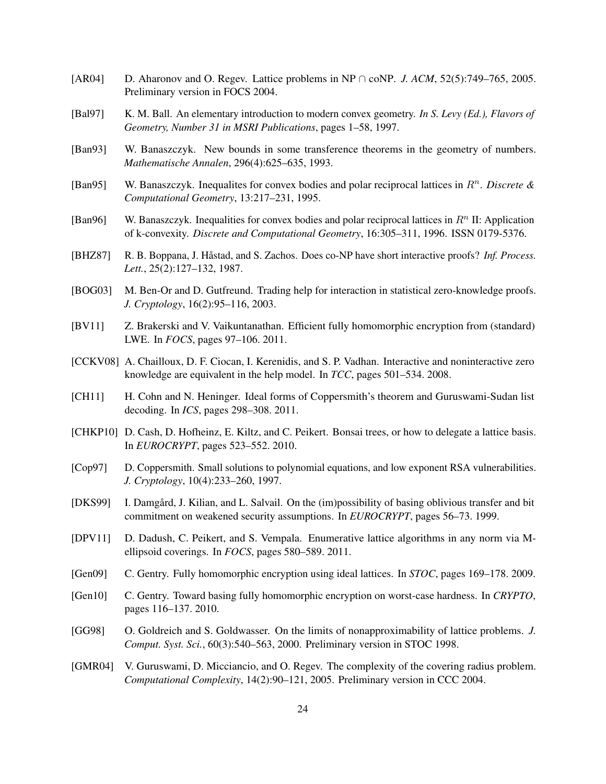- <span id="page-24-3"></span>[AR04] D. Aharonov and O. Regev. Lattice problems in NP ∩ coNP. *J. ACM*, 52(5):749–765, 2005. Preliminary version in FOCS 2004.
- <span id="page-24-14"></span>[Bal97] K. M. Ball. An elementary introduction to modern convex geometry. *In S. Levy (Ed.), Flavors of Geometry, Number 31 in MSRI Publications*, pages 1–58, 1997.
- <span id="page-24-5"></span>[Ban93] W. Banaszczyk. New bounds in some transference theorems in the geometry of numbers. *Mathematische Annalen*, 296(4):625–635, 1993.
- <span id="page-24-6"></span>[Ban95] W. Banaszczyk. Inequalites for convex bodies and polar reciprocal lattices in  $R<sup>n</sup>$ . Discrete & *Computational Geometry*, 13:217–231, 1995.
- <span id="page-24-7"></span>[Ban96] W. Banaszczyk. Inequalities for convex bodies and polar reciprocal lattices in  $R<sup>n</sup>$  II: Application of k-convexity. *Discrete and Computational Geometry*, 16:305–311, 1996. ISSN 0179-5376.
- <span id="page-24-9"></span>[BHZ87] R. B. Boppana, J. Håstad, and S. Zachos. Does co-NP have short interactive proofs? *Inf. Process. Lett.*, 25(2):127–132, 1987.
- <span id="page-24-16"></span>[BOG03] M. Ben-Or and D. Gutfreund. Trading help for interaction in statistical zero-knowledge proofs. *J. Cryptology*, 16(2):95–116, 2003.
- <span id="page-24-12"></span>[BV11] Z. Brakerski and V. Vaikuntanathan. Efficient fully homomorphic encryption from (standard) LWE. In *FOCS*, pages 97–106. 2011.
- <span id="page-24-17"></span>[CCKV08] A. Chailloux, D. F. Ciocan, I. Kerenidis, and S. P. Vadhan. Interactive and noninteractive zero knowledge are equivalent in the help model. In *TCC*, pages 501–534. 2008.
- <span id="page-24-1"></span>[CH11] H. Cohn and N. Heninger. Ideal forms of Coppersmith's theorem and Guruswami-Sudan list decoding. In *ICS*, pages 298–308. 2011.
- <span id="page-24-11"></span>[CHKP10] D. Cash, D. Hofheinz, E. Kiltz, and C. Peikert. Bonsai trees, or how to delegate a lattice basis. In *EUROCRYPT*, pages 523–552. 2010.
- <span id="page-24-0"></span>[Cop97] D. Coppersmith. Small solutions to polynomial equations, and low exponent RSA vulnerabilities. *J. Cryptology*, 10(4):233–260, 1997.
- <span id="page-24-15"></span>[DKS99] I. Damgård, J. Kilian, and L. Salvail. On the (im)possibility of basing oblivious transfer and bit commitment on weakened security assumptions. In *EUROCRYPT*, pages 56–73. 1999.
- <span id="page-24-13"></span>[DPV11] D. Dadush, C. Peikert, and S. Vempala. Enumerative lattice algorithms in any norm via Mellipsoid coverings. In *FOCS*, pages 580–589. 2011.
- <span id="page-24-2"></span>[Gen09] C. Gentry. Fully homomorphic encryption using ideal lattices. In *STOC*, pages 169–178. 2009.
- <span id="page-24-4"></span>[Gen10] C. Gentry. Toward basing fully homomorphic encryption on worst-case hardness. In *CRYPTO*, pages 116–137. 2010.
- <span id="page-24-8"></span>[GG98] O. Goldreich and S. Goldwasser. On the limits of nonapproximability of lattice problems. *J. Comput. Syst. Sci.*, 60(3):540–563, 2000. Preliminary version in STOC 1998.
- <span id="page-24-10"></span>[GMR04] V. Guruswami, D. Micciancio, and O. Regev. The complexity of the covering radius problem. *Computational Complexity*, 14(2):90–121, 2005. Preliminary version in CCC 2004.